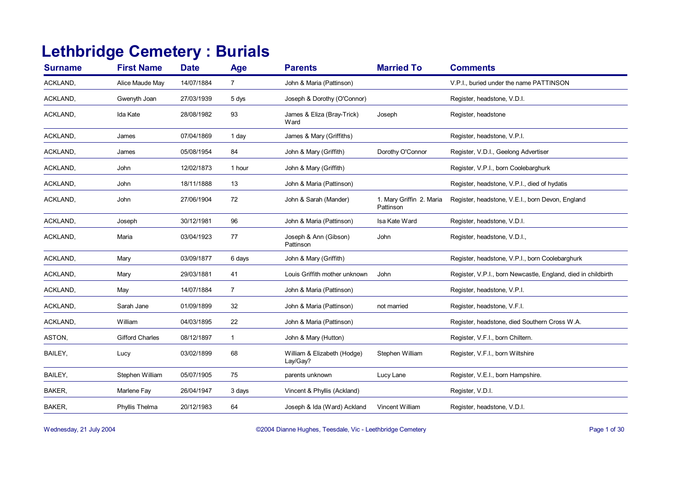## **Lethbridge Cemetery : Burials**

| <b>Surname</b> | <b>First Name</b>      | <b>Date</b> | Age            | <b>Parents</b>                          | <b>Married To</b>                     | <b>Comments</b>                                               |
|----------------|------------------------|-------------|----------------|-----------------------------------------|---------------------------------------|---------------------------------------------------------------|
| ACKLAND,       | Alice Maude May        | 14/07/1884  | $\overline{7}$ | John & Maria (Pattinson)                |                                       | V.P.I., buried under the name PATTINSON                       |
| ACKLAND,       | Gwenyth Joan           | 27/03/1939  | 5 dys          | Joseph & Dorothy (O'Connor)             |                                       | Register, headstone, V.D.I.                                   |
| ACKLAND,       | Ida Kate               | 28/08/1982  | 93             | James & Eliza (Bray-Trick)<br>Ward      | Joseph                                | Register, headstone                                           |
| ACKLAND,       | James                  | 07/04/1869  | 1 day          | James & Mary (Griffiths)                |                                       | Register, headstone, V.P.I.                                   |
| ACKLAND,       | James                  | 05/08/1954  | 84             | John & Mary (Griffith)                  | Dorothy O'Connor                      | Register, V.D.I., Geelong Advertiser                          |
| ACKLAND,       | John                   | 12/02/1873  | 1 hour         | John & Mary (Griffith)                  |                                       | Register, V.P.I., born Coolebarghurk                          |
| ACKLAND,       | John                   | 18/11/1888  | 13             | John & Maria (Pattinson)                |                                       | Register, headstone, V.P.I., died of hydatis                  |
| ACKLAND,       | John                   | 27/06/1904  | 72             | John & Sarah (Mander)                   | 1. Mary Griffin 2. Maria<br>Pattinson | Register, headstone, V.E.I., born Devon, England              |
| ACKLAND,       | Joseph                 | 30/12/1981  | 96             | John & Maria (Pattinson)                | Isa Kate Ward                         | Register, headstone, V.D.I.                                   |
| ACKLAND,       | Maria                  | 03/04/1923  | 77             | Joseph & Ann (Gibson)<br>Pattinson      | John                                  | Register, headstone, V.D.I.,                                  |
| ACKLAND,       | Mary                   | 03/09/1877  | 6 days         | John & Mary (Griffith)                  |                                       | Register, headstone, V.P.I., born Coolebarghurk               |
| ACKLAND,       | Mary                   | 29/03/1881  | 41             | Louis Griffith mother unknown           | John                                  | Register, V.P.I., born Newcastle, England, died in childbirth |
| ACKLAND,       | May                    | 14/07/1884  | $\overline{7}$ | John & Maria (Pattinson)                |                                       | Register, headstone, V.P.I.                                   |
| ACKLAND,       | Sarah Jane             | 01/09/1899  | 32             | John & Maria (Pattinson)                | not married                           | Register, headstone, V.F.I.                                   |
| ACKLAND,       | William                | 04/03/1895  | 22             | John & Maria (Pattinson)                |                                       | Register, headstone, died Southern Cross W.A.                 |
| ASTON,         | <b>Gifford Charles</b> | 08/12/1897  | $\mathbf{1}$   | John & Mary (Hutton)                    |                                       | Register, V.F.I., born Chiltern.                              |
| BAILEY,        | Lucy                   | 03/02/1899  | 68             | William & Elizabeth (Hodge)<br>Lay/Gay? | Stephen William                       | Register, V.F.I., born Wiltshire                              |
| BAILEY,        | Stephen William        | 05/07/1905  | 75             | parents unknown                         | Lucy Lane                             | Register, V.E.I., born Hampshire.                             |
| BAKER,         | Marlene Fay            | 26/04/1947  | 3 days         | Vincent & Phyllis (Ackland)             |                                       | Register, V.D.I.                                              |
| BAKER,         | Phyllis Thelma         | 20/12/1983  | 64             | Joseph & Ida (Ward) Ackland             | Vincent William                       | Register, headstone, V.D.I.                                   |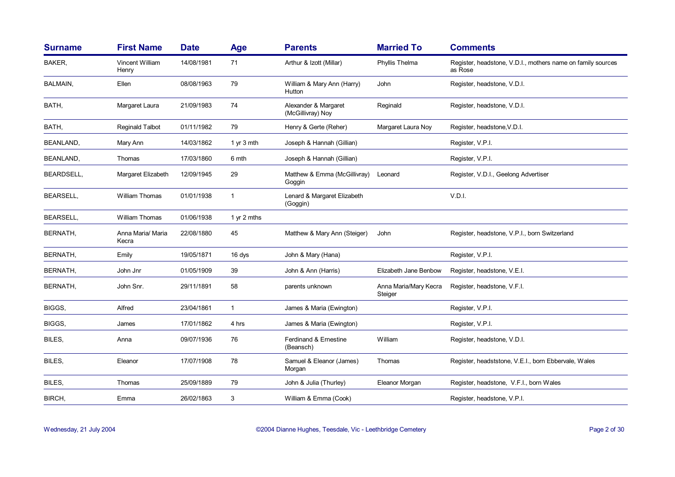| <b>Surname</b>   | <b>First Name</b>          | <b>Date</b> | <b>Age</b>   | <b>Parents</b>                            | <b>Married To</b>                | <b>Comments</b>                                                        |
|------------------|----------------------------|-------------|--------------|-------------------------------------------|----------------------------------|------------------------------------------------------------------------|
| BAKER,           | Vincent William<br>Henry   | 14/08/1981  | 71           | Arthur & Izott (Millar)                   | Phyllis Thelma                   | Register, headstone, V.D.I., mothers name on family sources<br>as Rose |
| <b>BALMAIN,</b>  | Ellen                      | 08/08/1963  | 79           | William & Mary Ann (Harry)<br>Hutton      | John                             | Register, headstone, V.D.I.                                            |
| BATH,            | Margaret Laura             | 21/09/1983  | 74           | Alexander & Margaret<br>(McGillivray) Noy | Reginald                         | Register, headstone, V.D.I.                                            |
| BATH,            | <b>Reginald Talbot</b>     | 01/11/1982  | 79           | Henry & Gerte (Reher)                     | Margaret Laura Noy               | Register, headstone, V.D.I.                                            |
| BEANLAND,        | Mary Ann                   | 14/03/1862  | 1 yr 3 mth   | Joseph & Hannah (Gillian)                 |                                  | Register, V.P.I.                                                       |
| BEANLAND,        | Thomas                     | 17/03/1860  | 6 mth        | Joseph & Hannah (Gillian)                 |                                  | Register, V.P.I.                                                       |
| BEARDSELL.       | Margaret Elizabeth         | 12/09/1945  | 29           | Matthew & Emma (McGillivray)<br>Goggin    | Leonard                          | Register, V.D.I., Geelong Advertiser                                   |
| <b>BEARSELL,</b> | William Thomas             | 01/01/1938  | $\mathbf{1}$ | Lenard & Margaret Elizabeth<br>(Goggin)   |                                  | V.D.I.                                                                 |
| <b>BEARSELL,</b> | <b>William Thomas</b>      | 01/06/1938  | 1 yr 2 mths  |                                           |                                  |                                                                        |
| BERNATH,         | Anna Maria/ Maria<br>Kecra | 22/08/1880  | 45           | Matthew & Mary Ann (Steiger)              | John                             | Register, headstone, V.P.I., born Switzerland                          |
| BERNATH,         | Emily                      | 19/05/1871  | 16 dys       | John & Mary (Hana)                        |                                  | Register, V.P.I.                                                       |
| BERNATH,         | John Jnr                   | 01/05/1909  | 39           | John & Ann (Harris)                       | Elizabeth Jane Benbow            | Register, headstone, V.E.I.                                            |
| BERNATH,         | John Snr.                  | 29/11/1891  | 58           | parents unknown                           | Anna Maria/Mary Kecra<br>Steiger | Register, headstone, V.F.I.                                            |
| BIGGS.           | Alfred                     | 23/04/1861  | $\mathbf{1}$ | James & Maria (Ewington)                  |                                  | Register, V.P.I.                                                       |
| BIGGS,           | James                      | 17/01/1862  | 4 hrs        | James & Maria (Ewington)                  |                                  | Register, V.P.I.                                                       |
| BILES,           | Anna                       | 09/07/1936  | 76           | Ferdinand & Ernestine<br>(Beansch)        | William                          | Register, headstone, V.D.I.                                            |
| BILES,           | Eleanor                    | 17/07/1908  | 78           | Samuel & Eleanor (James)<br>Morgan        | Thomas                           | Register, headststone, V.E.I., born Ebbervale, Wales                   |
| BILES,           | Thomas                     | 25/09/1889  | 79           | John & Julia (Thurley)                    | Eleanor Morgan                   | Register, headstone, V.F.I., born Wales                                |
| BIRCH,           | Emma                       | 26/02/1863  | 3            | William & Emma (Cook)                     |                                  | Register, headstone, V.P.I.                                            |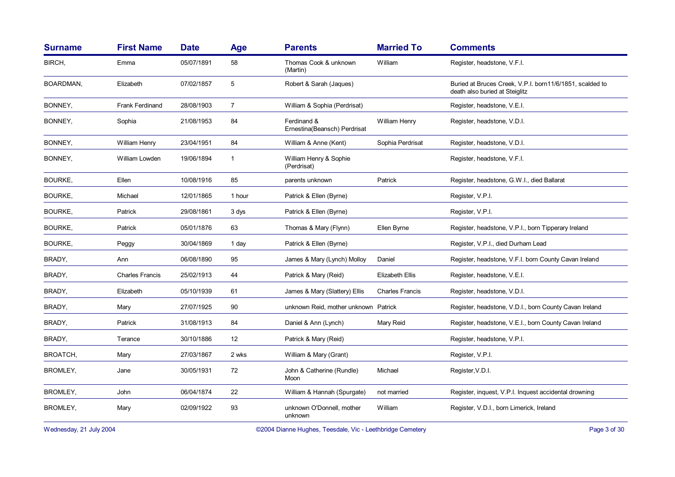| <b>Surname</b> | <b>First Name</b>      | <b>Date</b> | Age            | <b>Parents</b>                              | <b>Married To</b>      | <b>Comments</b>                                                                            |
|----------------|------------------------|-------------|----------------|---------------------------------------------|------------------------|--------------------------------------------------------------------------------------------|
| BIRCH,         | Emma                   | 05/07/1891  | 58             | Thomas Cook & unknown<br>(Martin)           | William                | Register, headstone, V.F.I.                                                                |
| BOARDMAN,      | Elizabeth              | 07/02/1857  | 5              | Robert & Sarah (Jaques)                     |                        | Buried at Bruces Creek, V.P.I. born11/6/1851, scalded to<br>death also buried at Steiglitz |
| BONNEY,        | <b>Frank Ferdinand</b> | 28/08/1903  | $\overline{7}$ | William & Sophia (Perdrisat)                |                        | Register, headstone, V.E.I.                                                                |
| BONNEY,        | Sophia                 | 21/08/1953  | 84             | Ferdinand &<br>Ernestina(Beansch) Perdrisat | William Henry          | Register, headstone, V.D.I.                                                                |
| BONNEY,        | William Henry          | 23/04/1951  | 84             | William & Anne (Kent)                       | Sophia Perdrisat       | Register, headstone, V.D.I.                                                                |
| BONNEY,        | William Lowden         | 19/06/1894  | $\mathbf{1}$   | William Henry & Sophie<br>(Perdrisat)       |                        | Register, headstone, V.F.I.                                                                |
| <b>BOURKE,</b> | Ellen                  | 10/08/1916  | 85             | parents unknown                             | Patrick                | Register, headstone, G.W.I., died Ballarat                                                 |
| <b>BOURKE.</b> | Michael                | 12/01/1865  | 1 hour         | Patrick & Ellen (Byrne)                     |                        | Register, V.P.I.                                                                           |
| <b>BOURKE,</b> | Patrick                | 29/08/1861  | 3 dys          | Patrick & Ellen (Byrne)                     |                        | Register, V.P.I.                                                                           |
| <b>BOURKE,</b> | Patrick                | 05/01/1876  | 63             | Thomas & Mary (Flynn)                       | Ellen Byrne            | Register, headstone, V.P.I., born Tipperary Ireland                                        |
| <b>BOURKE,</b> | Peggy                  | 30/04/1869  | 1 day          | Patrick & Ellen (Byrne)                     |                        | Register, V.P.I., died Durham Lead                                                         |
| BRADY,         | Ann                    | 06/08/1890  | 95             | James & Mary (Lynch) Molloy                 | Daniel                 | Register, headstone, V.F.I. born County Cavan Ireland                                      |
| BRADY,         | <b>Charles Francis</b> | 25/02/1913  | 44             | Patrick & Mary (Reid)                       | <b>Elizabeth Ellis</b> | Register, headstone, V.E.I.                                                                |
| BRADY,         | Elizabeth              | 05/10/1939  | 61             | James & Mary (Slattery) Ellis               | <b>Charles Francis</b> | Register, headstone, V.D.I.                                                                |
| BRADY,         | Mary                   | 27/07/1925  | 90             | unknown Reid, mother unknown Patrick        |                        | Register, headstone, V.D.I., born County Cavan Ireland                                     |
| BRADY,         | Patrick                | 31/08/1913  | 84             | Daniel & Ann (Lynch)                        | Mary Reid              | Register, headstone, V.E.I., born County Cavan Ireland                                     |
| BRADY,         | Terance                | 30/10/1886  | 12             | Patrick & Mary (Reid)                       |                        | Register, headstone, V.P.I.                                                                |
| BROATCH,       | Mary                   | 27/03/1867  | 2 wks          | William & Mary (Grant)                      |                        | Register, V.P.I.                                                                           |
| BROMLEY,       | Jane                   | 30/05/1931  | 72             | John & Catherine (Rundle)<br>Moon           | Michael                | Register, V.D.I.                                                                           |
| BROMLEY,       | John                   | 06/04/1874  | 22             | William & Hannah (Spurgate)                 | not married            | Register, inquest, V.P.I. Inquest accidental drowning                                      |
| BROMLEY,       | Mary                   | 02/09/1922  | 93             | unknown O'Donnell, mother<br>unknown        | William                | Register, V.D.I., born Limerick, Ireland                                                   |

Wednesday, 21 July 2004 **Dianne Hughes, Teesdale, Vic - Leethbridge Cemetery** Page 3 of 30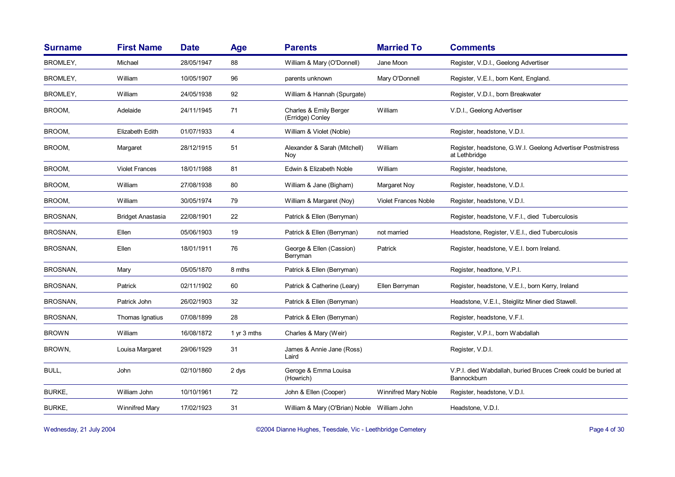| <b>Surname</b>  | <b>First Name</b>        | <b>Date</b> | <b>Age</b>    | <b>Parents</b>                              | <b>Married To</b>           | <b>Comments</b>                                                              |
|-----------------|--------------------------|-------------|---------------|---------------------------------------------|-----------------------------|------------------------------------------------------------------------------|
| BROMLEY,        | Michael                  | 28/05/1947  | 88            | William & Mary (O'Donnell)                  | Jane Moon                   | Register, V.D.I., Geelong Advertiser                                         |
| <b>BROMLEY,</b> | William                  | 10/05/1907  | 96            | parents unknown                             | Mary O'Donnell              | Register, V.E.I., born Kent, England.                                        |
| BROMLEY,        | William                  | 24/05/1938  | 92            | William & Hannah (Spurgate)                 |                             | Register, V.D.I., born Breakwater                                            |
| BROOM.          | Adelaide                 | 24/11/1945  | 71            | Charles & Emily Berger<br>(Erridge) Conley  | William                     | V.D.I., Geelong Advertiser                                                   |
| BROOM,          | Elizabeth Edith          | 01/07/1933  | 4             | William & Violet (Noble)                    |                             | Register, headstone, V.D.I.                                                  |
| BROOM,          | Margaret                 | 28/12/1915  | 51            | Alexander & Sarah (Mitchell)<br>Noy         | William                     | Register, headstone, G.W.I. Geelong Advertiser Postmistress<br>at Lethbridge |
| BROOM.          | <b>Violet Frances</b>    | 18/01/1988  | 81            | Edwin & Elizabeth Noble                     | William                     | Register, headstone,                                                         |
| BROOM,          | William                  | 27/08/1938  | 80            | William & Jane (Bigham)                     | Margaret Noy                | Register, headstone, V.D.I.                                                  |
| BROOM,          | William                  | 30/05/1974  | 79            | William & Margaret (Noy)                    | <b>Violet Frances Noble</b> | Register, headstone, V.D.I.                                                  |
| BROSNAN,        | <b>Bridget Anastasia</b> | 22/08/1901  | 22            | Patrick & Ellen (Berryman)                  |                             | Register, headstone, V.F.I., died Tuberculosis                               |
| BROSNAN,        | Ellen                    | 05/06/1903  | 19            | Patrick & Ellen (Berryman)                  | not married                 | Headstone, Register, V.E.I., died Tuberculosis                               |
| BROSNAN,        | Ellen                    | 18/01/1911  | 76            | George & Ellen (Cassion)<br>Berryman        | Patrick                     | Register, headstone, V.E.I. born Ireland.                                    |
| BROSNAN,        | Mary                     | 05/05/1870  | 8 mths        | Patrick & Ellen (Berryman)                  |                             | Register, headtone, V.P.I.                                                   |
| BROSNAN,        | Patrick                  | 02/11/1902  | 60            | Patrick & Catherine (Leary)                 | Ellen Berryman              | Register, headstone, V.E.I., born Kerry, Ireland                             |
| BROSNAN,        | Patrick John             | 26/02/1903  | 32            | Patrick & Ellen (Berryman)                  |                             | Headstone, V.E.I., Steiglitz Miner died Stawell.                             |
| BROSNAN,        | Thomas Ignatius          | 07/08/1899  | 28            | Patrick & Ellen (Berryman)                  |                             | Register, headstone, V.F.I.                                                  |
| <b>BROWN</b>    | William                  | 16/08/1872  | 1 $yr$ 3 mths | Charles & Mary (Weir)                       |                             | Register, V.P.I., born Wabdallah                                             |
| BROWN,          | Louisa Margaret          | 29/06/1929  | 31            | James & Annie Jane (Ross)<br>Laird          |                             | Register, V.D.I.                                                             |
| BULL,           | John                     | 02/10/1860  | 2 dys         | Geroge & Emma Louisa<br>(Howrich)           |                             | V.P.I. died Wabdallah, buried Bruces Creek could be buried at<br>Bannockburn |
| <b>BURKE,</b>   | William John             | 10/10/1961  | 72            | John & Ellen (Cooper)                       | <b>Winnifred Mary Noble</b> | Register, headstone, V.D.I.                                                  |
| <b>BURKE,</b>   | Winnifred Mary           | 17/02/1923  | 31            | William & Mary (O'Brian) Noble William John |                             | Headstone, V.D.I.                                                            |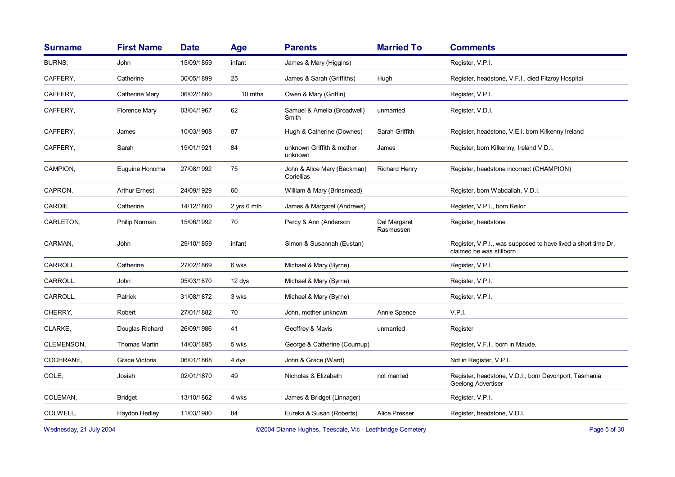| <b>Surname</b> | <b>First Name</b>    | <b>Date</b> | Age         | <b>Parents</b>                            | <b>Married To</b>         | <b>Comments</b>                                                                           |
|----------------|----------------------|-------------|-------------|-------------------------------------------|---------------------------|-------------------------------------------------------------------------------------------|
| BURNS,         | John                 | 15/09/1859  | infant      | James & Mary (Higgins)                    |                           | Register, V.P.I.                                                                          |
| CAFFERY,       | Catherine            | 30/05/1899  | 25          | James & Sarah (Griffiths)                 | Hugh                      | Register, headstone, V.F.I., died Fitzroy Hospital                                        |
| CAFFERY,       | Catherine Mary       | 06/02/1860  | 10 mths     | Owen & Mary (Griffin)                     |                           | Register, V.P.I.                                                                          |
| CAFFERY,       | <b>Florence Mary</b> | 03/04/1967  | 62          | Samuel & Amelia (Broadwell)<br>Smith      | unmarried                 | Register, V.D.I.                                                                          |
| CAFFERY,       | James                | 10/03/1908  | 87          | Hugh & Catherine (Downes)                 | Sarah Griffith            | Register, headstone, V.E.I. born Kilkenny Ireland                                         |
| CAFFERY,       | Sarah                | 19/01/1921  | 84          | unknown Griffith & mother<br>unknown      | James                     | Register, born Kilkenny, Ireland V.D.I.                                                   |
| CAMPION,       | Euguine Honorha      | 27/08/1992  | 75          | John & Alice Mary (Beckman)<br>Coriellias | <b>Richard Henry</b>      | Register, headstone incorrect (CHAMPION)                                                  |
| CAPRON,        | <b>Arthur Ernest</b> | 24/09/1929  | 60          | William & Mary (Brinsmead)                |                           | Register, born Wabdallah, V.D.I.                                                          |
| CARDIE,        | Catherine            | 14/12/1860  | 2 yrs 6 mth | James & Margaret (Andrews)                |                           | Register, V.P.I., born Keilor                                                             |
| CARLETON,      | Philip Norman        | 15/06/1992  | 70          | Percy & Ann (Anderson                     | Del Margaret<br>Rasmussen | Register, headstone                                                                       |
| CARMAN,        | John                 | 29/10/1859  | infant      | Simon & Susannah (Eustan)                 |                           | Register, V.P.I., was supposed to have lived a short time Dr.<br>claimed he was stillborn |
| CARROLL,       | Catherine            | 27/02/1869  | 6 wks       | Michael & Mary (Byrne)                    |                           | Register, V.P.I.                                                                          |
| CARROLL,       | John                 | 05/03/1870  | 12 dys      | Michael & Mary (Byrne)                    |                           | Register, V.P.I.                                                                          |
| CARROLL,       | Patrick              | 31/08/1872  | 3 wks       | Michael & Mary (Byrne)                    |                           | Register, V.P.I.                                                                          |
| CHERRY,        | Robert               | 27/01/1882  | 70          | John, mother unknown                      | Annie Spence              | V.P.I.                                                                                    |
| CLARKE,        | Douglas Richard      | 26/09/1986  | 41          | Geoffrey & Mavis                          | unmarried                 | Register                                                                                  |
| CLEMENSON,     | <b>Thomas Martin</b> | 14/03/1895  | 5 wks       | George & Catherine (Cournup)              |                           | Register, V.F.I., born in Maude.                                                          |
| COCHRANE,      | Grace Victoria       | 06/01/1868  | 4 dys       | John & Grace (Ward)                       |                           | Not in Register, V.P.I.                                                                   |
| COLE,          | Josiah               | 02/01/1870  | 49          | Nicholas & Elizabeth                      | not married               | Register, headstone, V.D.I., born Devonport, Tasmania<br>Geelong Advertiser               |
| COLEMAN,       | <b>Bridget</b>       | 13/10/1862  | 4 wks       | James & Bridget (Linnager)                |                           | Register, V.P.I.                                                                          |
| COLWELL,       | Haydon Hedley        | 11/03/1980  | 84          | Eureka & Susan (Roberts)                  | <b>Alice Presser</b>      | Register, headstone, V.D.I.                                                               |
|                |                      |             |             |                                           |                           |                                                                                           |

Wednesday, 21 July 2004 **Dianne Hughes, Teesdale, Vic - Leethbridge Cemetery** Page 5 of 30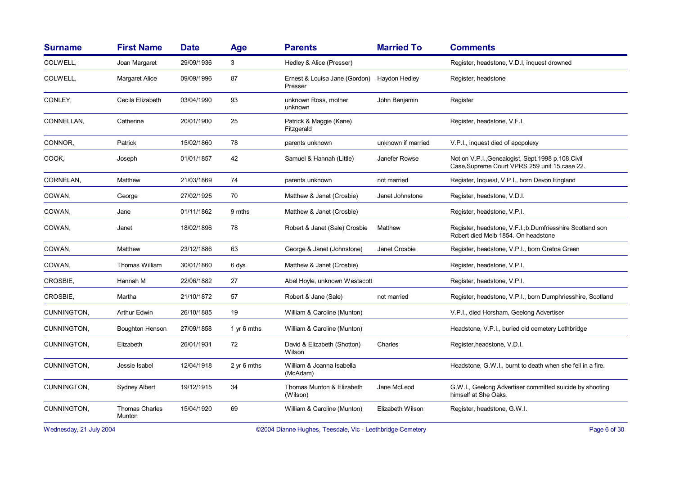| <b>Surname</b> | <b>First Name</b>               | <b>Date</b> | Age         | <b>Parents</b>                           | <b>Married To</b>  | <b>Comments</b>                                                                                      |
|----------------|---------------------------------|-------------|-------------|------------------------------------------|--------------------|------------------------------------------------------------------------------------------------------|
| COLWELL,       | Joan Margaret                   | 29/09/1936  | 3           | Hedley & Alice (Presser)                 |                    | Register, headstone, V.D.I, inquest drowned                                                          |
| COLWELL,       | Margaret Alice                  | 09/09/1996  | 87          | Ernest & Louisa Jane (Gordon)<br>Presser | Haydon Hedley      | Register, headstone                                                                                  |
| CONLEY,        | Cecila Elizabeth                | 03/04/1990  | 93          | unknown Ross, mother<br>unknown          | John Benjamin      | Register                                                                                             |
| CONNELLAN.     | Catherine                       | 20/01/1900  | 25          | Patrick & Maggie (Kane)<br>Fitzgerald    |                    | Register, headstone, V.F.I.                                                                          |
| CONNOR,        | Patrick                         | 15/02/1860  | 78          | parents unknown                          | unknown if married | V.P.I., inquest died of apopolexy                                                                    |
| COOK,          | Joseph                          | 01/01/1857  | 42          | Samuel & Hannah (Little)                 | Janefer Rowse      | Not on V.P.I., Genealogist, Sept. 1998 p. 108. Civil<br>Case Supreme Court VPRS 259 unit 15 case 22. |
| CORNELAN,      | Matthew                         | 21/03/1869  | 74          | parents unknown                          | not married        | Register, Inquest, V.P.I., born Devon England                                                        |
| COWAN,         | George                          | 27/02/1925  | 70          | Matthew & Janet (Crosbie)                | Janet Johnstone    | Register, headstone, V.D.I.                                                                          |
| COWAN,         | Jane                            | 01/11/1862  | 9 mths      | Matthew & Janet (Crosbie)                |                    | Register, headstone, V.P.I.                                                                          |
| COWAN,         | Janet                           | 18/02/1896  | 78          | Robert & Janet (Sale) Crosbie            | Matthew            | Register, headstone, V.F.I., b.Dumfriesshire Scotland son<br>Robert died Melb 1854. On headstone     |
| COWAN,         | Matthew                         | 23/12/1886  | 63          | George & Janet (Johnstone)               | Janet Crosbie      | Register, headstone, V.P.I., born Gretna Green                                                       |
| COWAN,         | Thomas William                  | 30/01/1860  | 6 dys       | Matthew & Janet (Crosbie)                |                    | Register, headstone, V.P.I.                                                                          |
| CROSBIE,       | Hannah M                        | 22/06/1882  | 27          | Abel Hoyle, unknown Westacott            |                    | Register, headstone, V.P.I.                                                                          |
| CROSBIE,       | Martha                          | 21/10/1872  | 57          | Robert & Jane (Sale)                     | not married        | Register, headstone, V.P.I., born Dumphriesshire, Scotland                                           |
| CUNNINGTON,    | Arthur Edwin                    | 26/10/1885  | 19          | William & Caroline (Munton)              |                    | V.P.I., died Horsham, Geelong Advertiser                                                             |
| CUNNINGTON,    | <b>Boughton Henson</b>          | 27/09/1858  | 1 yr 6 mths | William & Caroline (Munton)              |                    | Headstone, V.P.I., buried old cemetery Lethbridge                                                    |
| CUNNINGTON,    | Elizabeth                       | 26/01/1931  | 72          | David & Elizabeth (Shotton)<br>Wilson    | Charles            | Register, headstone, V.D.I.                                                                          |
| CUNNINGTON,    | Jessie Isabel                   | 12/04/1918  | 2 yr 6 mths | William & Joanna Isabella<br>(McAdam)    |                    | Headstone, G.W.I., burnt to death when she fell in a fire.                                           |
| CUNNINGTON,    | <b>Sydney Albert</b>            | 19/12/1915  | 34          | Thomas Munton & Elizabeth<br>(Wilson)    | Jane McLeod        | G.W.I., Geelong Advertiser committed suicide by shooting<br>himself at She Oaks.                     |
| CUNNINGTON,    | <b>Thomas Charles</b><br>Munton | 15/04/1920  | 69          | William & Caroline (Munton)              | Elizabeth Wilson   | Register, headstone, G.W.I.                                                                          |

Wednesday, 21 July 2004 **Dianne Hughes, Teesdale, Vic - Leethbridge Cemetery** Page 6 of 30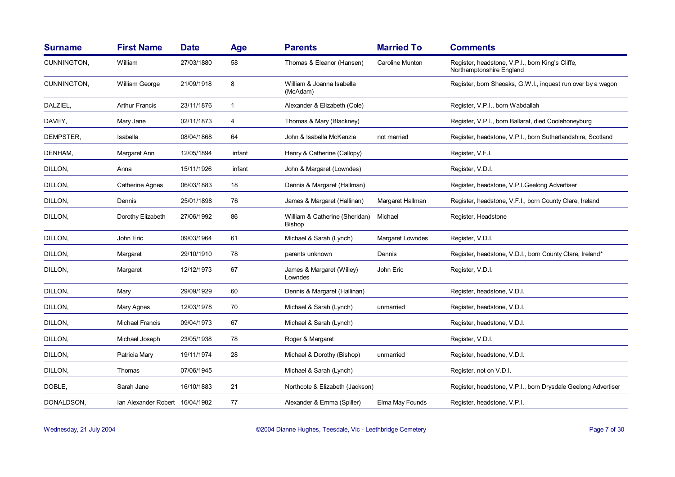| <b>Surname</b> | <b>First Name</b>               | <b>Date</b> | <b>Age</b>   | <b>Parents</b>                           | <b>Married To</b> | <b>Comments</b>                                                              |
|----------------|---------------------------------|-------------|--------------|------------------------------------------|-------------------|------------------------------------------------------------------------------|
| CUNNINGTON,    | William                         | 27/03/1880  | 58           | Thomas & Eleanor (Hansen)                | Caroline Munton   | Register, headstone, V.P.I., born King's Cliffe,<br>Northamptonshire England |
| CUNNINGTON,    | William George                  | 21/09/1918  | 8            | William & Joanna Isabella<br>(McAdam)    |                   | Register, born Sheoaks, G.W.I., inquest run over by a wagon                  |
| DALZIEL,       | <b>Arthur Francis</b>           | 23/11/1876  | $\mathbf{1}$ | Alexander & Elizabeth (Cole)             |                   | Register, V.P.I., born Wabdallah                                             |
| DAVEY,         | Mary Jane                       | 02/11/1873  | 4            | Thomas & Mary (Blackney)                 |                   | Register, V.P.I., born Ballarat, died Coolehoneyburg                         |
| DEMPSTER,      | Isabella                        | 08/04/1868  | 64           | John & Isabella McKenzie                 | not married       | Register, headstone, V.P.I., born Sutherlandshire, Scotland                  |
| DENHAM,        | Margaret Ann                    | 12/05/1894  | infant       | Henry & Catherine (Callopy)              |                   | Register, V.F.I.                                                             |
| DILLON,        | Anna                            | 15/11/1926  | infant       | John & Margaret (Lowndes)                |                   | Register, V.D.I.                                                             |
| DILLON,        | Catherine Agnes                 | 06/03/1883  | 18           | Dennis & Margaret (Hallman)              |                   | Register, headstone, V.P.I.Geelong Advertiser                                |
| DILLON,        | Dennis                          | 25/01/1898  | 76           | James & Margaret (Hallinan)              | Margaret Hallman  | Register, headstone, V.F.I., born County Clare, Ireland                      |
| DILLON,        | Dorothy Elizabeth               | 27/06/1992  | 86           | William & Catherine (Sheridan)<br>Bishop | Michael           | Register, Headstone                                                          |
| DILLON,        | John Eric                       | 09/03/1964  | 61           | Michael & Sarah (Lynch)                  | Margaret Lowndes  | Register, V.D.I.                                                             |
| DILLON,        | Margaret                        | 29/10/1910  | 78           | parents unknown                          | Dennis            | Register, headstone, V.D.I., born County Clare, Ireland*                     |
| DILLON,        | Margaret                        | 12/12/1973  | 67           | James & Margaret (Willey)<br>Lowndes     | John Eric         | Register, V.D.I.                                                             |
| DILLON,        | Mary                            | 29/09/1929  | 60           | Dennis & Margaret (Hallinan)             |                   | Register, headstone, V.D.I.                                                  |
| DILLON,        | Mary Agnes                      | 12/03/1978  | 70           | Michael & Sarah (Lynch)                  | unmarried         | Register, headstone, V.D.I.                                                  |
| DILLON,        | Michael Francis                 | 09/04/1973  | 67           | Michael & Sarah (Lynch)                  |                   | Register, headstone, V.D.I.                                                  |
| DILLON,        | Michael Joseph                  | 23/05/1938  | 78           | Roger & Margaret                         |                   | Register, V.D.I.                                                             |
| DILLON,        | Patricia Mary                   | 19/11/1974  | 28           | Michael & Dorothy (Bishop)               | unmarried         | Register, headstone, V.D.I.                                                  |
| DILLON,        | Thomas                          | 07/06/1945  |              | Michael & Sarah (Lynch)                  |                   | Register, not on V.D.I.                                                      |
| DOBLE,         | Sarah Jane                      | 16/10/1883  | 21           | Northcote & Elizabeth (Jackson)          |                   | Register, headstone, V.P.I., born Drysdale Geelong Advertiser                |
| DONALDSON,     | Ian Alexander Robert 16/04/1982 |             | 77           | Alexander & Emma (Spiller)               | Elma May Founds   | Register, headstone, V.P.I.                                                  |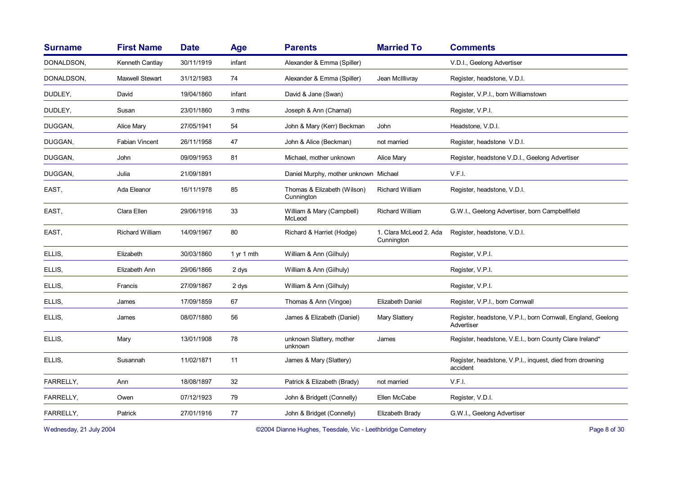| <b>Surname</b> | <b>First Name</b>      | <b>Date</b> | Age        | <b>Parents</b>                            | <b>Married To</b>                    | <b>Comments</b>                                                            |
|----------------|------------------------|-------------|------------|-------------------------------------------|--------------------------------------|----------------------------------------------------------------------------|
| DONALDSON,     | Kenneth Cantlay        | 30/11/1919  | infant     | Alexander & Emma (Spiller)                |                                      | V.D.I., Geelong Advertiser                                                 |
| DONALDSON.     | <b>Maxwell Stewart</b> | 31/12/1983  | 74         | Alexander & Emma (Spiller)                | Jean McIllivray                      | Register, headstone, V.D.I.                                                |
| DUDLEY,        | David                  | 19/04/1860  | infant     | David & Jane (Swan)                       |                                      | Register, V.P.I., born Williamstown                                        |
| DUDLEY,        | Susan                  | 23/01/1860  | 3 mths     | Joseph & Ann (Charnal)                    |                                      | Register, V.P.I.                                                           |
| DUGGAN,        | <b>Alice Mary</b>      | 27/05/1941  | 54         | John & Mary (Kerr) Beckman                | John                                 | Headstone, V.D.I.                                                          |
| DUGGAN,        | <b>Fabian Vincent</b>  | 26/11/1958  | 47         | John & Alice (Beckman)                    | not married                          | Register, headstone V.D.I.                                                 |
| DUGGAN,        | John                   | 09/09/1953  | 81         | Michael, mother unknown                   | <b>Alice Mary</b>                    | Register, headstone V.D.I., Geelong Advertiser                             |
| DUGGAN,        | Julia                  | 21/09/1891  |            | Daniel Murphy, mother unknown Michael     |                                      | V.F.I.                                                                     |
| EAST,          | Ada Eleanor            | 16/11/1978  | 85         | Thomas & Elizabeth (Wilson)<br>Cunnington | Richard William                      | Register, headstone, V.D.I.                                                |
| EAST,          | Clara Ellen            | 29/06/1916  | 33         | William & Mary (Campbell)<br>McLeod       | <b>Richard William</b>               | G.W.I., Geelong Advertiser, born Campbellfield                             |
| EAST,          | Richard William        | 14/09/1967  | 80         | Richard & Harriet (Hodge)                 | 1. Clara McLeod 2. Ada<br>Cunnington | Register, headstone, V.D.I.                                                |
| ELLIS,         | Elizabeth              | 30/03/1860  | 1 yr 1 mth | William & Ann (Gilhuly)                   |                                      | Register, V.P.I.                                                           |
| ELLIS,         | Elizabeth Ann          | 29/06/1866  | 2 dys      | William & Ann (Gilhuly)                   |                                      | Register, V.P.I.                                                           |
| ELLIS,         | Francis                | 27/09/1867  | 2 dys      | William & Ann (Gilhuly)                   |                                      | Register, V.P.I.                                                           |
| ELLIS,         | James                  | 17/09/1859  | 67         | Thomas & Ann (Vingoe)                     | Elizabeth Daniel                     | Register, V.P.I., born Cornwall                                            |
| ELLIS,         | James                  | 08/07/1880  | 56         | James & Elizabeth (Daniel)                | Mary Slattery                        | Register, headstone, V.P.I., born Cornwall, England, Geelong<br>Advertiser |
| ELLIS,         | Mary                   | 13/01/1908  | 78         | unknown Slattery, mother<br>unknown       | James                                | Register, headstone, V.E.I., born County Clare Ireland*                    |
| ELLIS,         | Susannah               | 11/02/1871  | 11         | James & Mary (Slattery)                   |                                      | Register, headstone, V.P.I., inquest, died from drowning<br>accident       |
| FARRELLY,      | Ann                    | 18/08/1897  | 32         | Patrick & Elizabeth (Brady)               | not married                          | V.F.I.                                                                     |
| FARRELLY,      | Owen                   | 07/12/1923  | 79         | John & Bridgett (Connelly)                | Ellen McCabe                         | Register, V.D.I.                                                           |
| FARRELLY,      | Patrick                | 27/01/1916  | 77         | John & Bridget (Connelly)                 | Elizabeth Brady                      | G.W.I., Geelong Advertiser                                                 |
|                |                        |             |            |                                           |                                      |                                                                            |

Wednesday, 21 July 2004 **Dianne Hughes, Teesdale, Vic - Leethbridge Cemetery** Page 8 of 30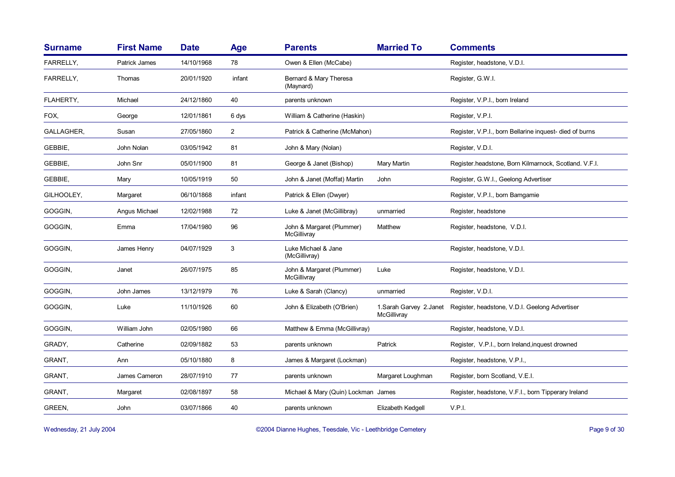| <b>Surname</b>   | <b>First Name</b>    | <b>Date</b> | Age            | <b>Parents</b>                           | <b>Married To</b> | <b>Comments</b>                                                         |
|------------------|----------------------|-------------|----------------|------------------------------------------|-------------------|-------------------------------------------------------------------------|
| <b>FARRELLY,</b> | <b>Patrick James</b> | 14/10/1968  | 78             | Owen & Ellen (McCabe)                    |                   | Register, headstone, V.D.I.                                             |
| FARRELLY,        | Thomas               | 20/01/1920  | infant         | Bernard & Mary Theresa<br>(Maynard)      |                   | Register, G.W.I.                                                        |
| FLAHERTY,        | Michael              | 24/12/1860  | 40             | parents unknown                          |                   | Register, V.P.I., born Ireland                                          |
| FOX,             | George               | 12/01/1861  | 6 dys          | William & Catherine (Haskin)             |                   | Register, V.P.I.                                                        |
| GALLAGHER,       | Susan                | 27/05/1860  | $\overline{2}$ | Patrick & Catherine (McMahon)            |                   | Register, V.P.I., born Bellarine inquest- died of burns                 |
| GEBBIE,          | John Nolan           | 03/05/1942  | 81             | John & Mary (Nolan)                      |                   | Register, V.D.I.                                                        |
| GEBBIE,          | John Snr             | 05/01/1900  | 81             | George & Janet (Bishop)                  | Mary Martin       | Register headstone, Born Kilmarnock, Scotland, V.F.I.                   |
| GEBBIE,          | Mary                 | 10/05/1919  | 50             | John & Janet (Moffat) Martin             | John              | Register, G.W.I., Geelong Advertiser                                    |
| GILHOOLEY,       | Margaret             | 06/10/1868  | infant         | Patrick & Ellen (Dwyer)                  |                   | Register, V.P.I., born Bamgamie                                         |
| GOGGIN,          | Angus Michael        | 12/02/1988  | 72             | Luke & Janet (McGillibray)               | unmarried         | Register, headstone                                                     |
| GOGGIN,          | Emma                 | 17/04/1980  | 96             | John & Margaret (Plummer)<br>McGillivray | Matthew           | Register, headstone, V.D.I.                                             |
| GOGGIN,          | James Henry          | 04/07/1929  | 3              | Luke Michael & Jane<br>(McGillivray)     |                   | Register, headstone, V.D.I.                                             |
| GOGGIN,          | Janet                | 26/07/1975  | 85             | John & Margaret (Plummer)<br>McGillivray | Luke              | Register, headstone, V.D.I.                                             |
| GOGGIN,          | John James           | 13/12/1979  | 76             | Luke & Sarah (Clancy)                    | unmarried         | Register, V.D.I.                                                        |
| GOGGIN,          | Luke                 | 11/10/1926  | 60             | John & Elizabeth (O'Brien)               | McGillivray       | 1. Sarah Garvey 2. Janet Register, headstone, V.D.I. Geelong Advertiser |
| GOGGIN,          | William John         | 02/05/1980  | 66             | Matthew & Emma (McGillivray)             |                   | Register, headstone, V.D.I.                                             |
| GRADY,           | Catherine            | 02/09/1882  | 53             | parents unknown                          | Patrick           | Register, V.P.I., born Ireland, inquest drowned                         |
| GRANT,           | Ann                  | 05/10/1880  | 8              | James & Margaret (Lockman)               |                   | Register, headstone, V.P.I.,                                            |
| GRANT,           | James Cameron        | 28/07/1910  | 77             | parents unknown                          | Margaret Loughman | Register, born Scotland, V.E.I.                                         |
| GRANT.           | Margaret             | 02/08/1897  | 58             | Michael & Mary (Quin) Lockman James      |                   | Register, headstone, V.F.I., born Tipperary Ireland                     |
| GREEN,           | John                 | 03/07/1866  | 40             | parents unknown                          | Elizabeth Kedgell | V.P.I.                                                                  |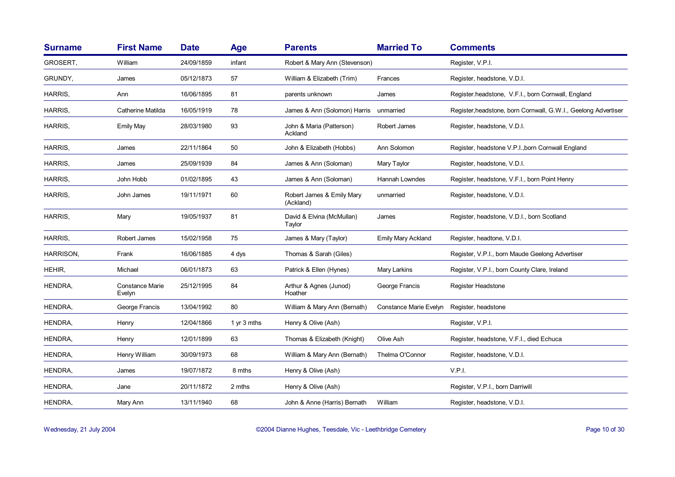| <b>Surname</b> | <b>First Name</b>                | <b>Date</b> | <b>Age</b>    | <b>Parents</b>                         | <b>Married To</b>         | <b>Comments</b>                                                |
|----------------|----------------------------------|-------------|---------------|----------------------------------------|---------------------------|----------------------------------------------------------------|
| GROSERT,       | William                          | 24/09/1859  | infant        | Robert & Mary Ann (Stevenson)          |                           | Register, V.P.I.                                               |
| GRUNDY,        | James                            | 05/12/1873  | 57            | William & Elizabeth (Trim)             | Frances                   | Register, headstone, V.D.I.                                    |
| HARRIS.        | Ann                              | 16/06/1895  | 81            | parents unknown                        | James                     | Register.headstone, V.F.I., born Cornwall, England             |
| HARRIS,        | Catherine Matilda                | 16/05/1919  | 78            | James & Ann (Solomon) Harris           | unmarried                 | Register, headstone, born Cornwall, G.W.I., Geelong Advertiser |
| HARRIS,        | <b>Emily May</b>                 | 28/03/1980  | 93            | John & Maria (Patterson)<br>Ackland    | Robert James              | Register, headstone, V.D.I.                                    |
| HARRIS,        | James                            | 22/11/1864  | 50            | John & Elizabeth (Hobbs)               | Ann Solomon               | Register, headstone V.P.I., born Cornwall England              |
| HARRIS,        | James                            | 25/09/1939  | 84            | James & Ann (Soloman)                  | Mary Taylor               | Register, headstone, V.D.I.                                    |
| HARRIS,        | John Hobb                        | 01/02/1895  | 43            | James & Ann (Soloman)                  | Hannah Lowndes            | Register, headstone, V.F.I., born Point Henry                  |
| HARRIS,        | John James                       | 19/11/1971  | 60            | Robert James & Emily Mary<br>(Ackland) | unmarried                 | Register, headstone, V.D.I.                                    |
| HARRIS,        | Mary                             | 19/05/1937  | 81            | David & Elvina (McMullan)<br>Taylor    | James                     | Register, headstone, V.D.I., born Scotland                     |
| HARRIS,        | Robert James                     | 15/02/1958  | 75            | James & Mary (Taylor)                  | <b>Emily Mary Ackland</b> | Register, headtone, V.D.I.                                     |
| HARRISON,      | Frank                            | 16/06/1885  | 4 dys         | Thomas & Sarah (Giles)                 |                           | Register, V.P.I., born Maude Geelong Advertiser                |
| HEHIR,         | Michael                          | 06/01/1873  | 63            | Patrick & Ellen (Hynes)                | Mary Larkins              | Register, V.P.I., born County Clare, Ireland                   |
| HENDRA,        | <b>Constance Marie</b><br>Evelyn | 25/12/1995  | 84            | Arthur & Agnes (Junod)<br>Hoather      | George Francis            | Register Headstone                                             |
| HENDRA,        | George Francis                   | 13/04/1992  | 80            | William & Mary Ann (Bernath)           | Constance Marie Evelyn    | Register, headstone                                            |
| HENDRA,        | Henry                            | 12/04/1866  | 1 $yr$ 3 mths | Henry & Olive (Ash)                    |                           | Register, V.P.I.                                               |
| HENDRA,        | Henry                            | 12/01/1899  | 63            | Thomas & Elizabeth (Knight)            | Olive Ash                 | Register, headstone, V.F.I., died Echuca                       |
| HENDRA,        | Henry William                    | 30/09/1973  | 68            | William & Mary Ann (Bernath)           | Thelma O'Connor           | Register, headstone, V.D.I.                                    |
| HENDRA,        | James                            | 19/07/1872  | 8 mths        | Henry & Olive (Ash)                    |                           | V.P.I.                                                         |
| HENDRA,        | Jane                             | 20/11/1872  | 2 mths        | Henry & Olive (Ash)                    |                           | Register, V.P.I., born Darriwill                               |
| HENDRA,        | Mary Ann                         | 13/11/1940  | 68            | John & Anne (Harris) Bernath           | William                   | Register, headstone, V.D.I.                                    |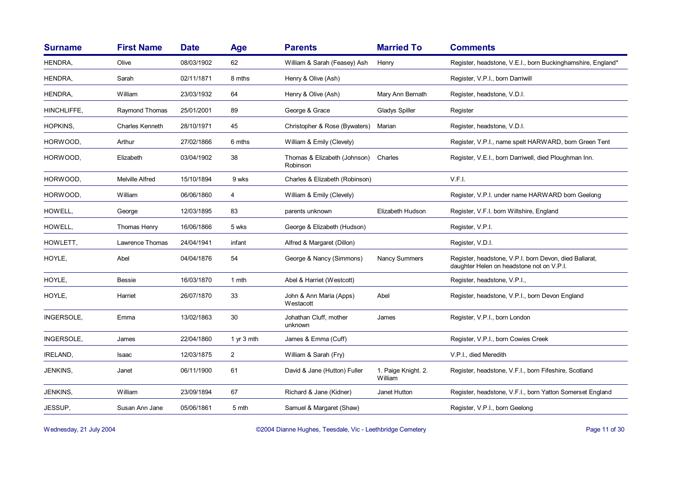| <b>Surname</b>  | <b>First Name</b>      | <b>Date</b> | <b>Age</b>     | <b>Parents</b>                           | <b>Married To</b>              | <b>Comments</b>                                                                                     |
|-----------------|------------------------|-------------|----------------|------------------------------------------|--------------------------------|-----------------------------------------------------------------------------------------------------|
| HENDRA,         | Olive                  | 08/03/1902  | 62             | William & Sarah (Feasey) Ash             | Henry                          | Register, headstone, V.E.I., born Buckinghamshire, England*                                         |
| HENDRA,         | Sarah                  | 02/11/1871  | 8 mths         | Henry & Olive (Ash)                      |                                | Register, V.P.I., born Darriwill                                                                    |
| HENDRA,         | William                | 23/03/1932  | 64             | Henry & Olive (Ash)                      | Mary Ann Bernath               | Register, headstone, V.D.I.                                                                         |
| HINCHLIFFE.     | Raymond Thomas         | 25/01/2001  | 89             | George & Grace                           | Gladys Spiller                 | Register                                                                                            |
| <b>HOPKINS.</b> | <b>Charles Kenneth</b> | 28/10/1971  | 45             | Christopher & Rose (Bywaters)            | Marian                         | Register, headstone, V.D.I.                                                                         |
| HORWOOD.        | Arthur                 | 27/02/1866  | 6 mths         | William & Emily (Clevely)                |                                | Register, V.P.I., name spelt HARWARD, born Green Tent                                               |
| HORWOOD,        | Elizabeth              | 03/04/1902  | 38             | Thomas & Elizabeth (Johnson)<br>Robinson | Charles                        | Register, V.E.I., born Darriwell, died Ploughman Inn.                                               |
| HORWOOD.        | <b>Melville Alfred</b> | 15/10/1894  | 9 wks          | Charles & Elizabeth (Robinson)           |                                | V.F.I.                                                                                              |
| HORWOOD,        | William                | 06/06/1860  | 4              | William & Emily (Clevely)                |                                | Register, V.P.I. under name HARWARD born Geelong                                                    |
| HOWELL,         | George                 | 12/03/1895  | 83             | parents unknown                          | Elizabeth Hudson               | Register, V.F.I. born Wiltshire, England                                                            |
| HOWELL,         | Thomas Henry           | 16/06/1866  | 5 wks          | George & Elizabeth (Hudson)              |                                | Register, V.P.I.                                                                                    |
| HOWLETT,        | Lawrence Thomas        | 24/04/1941  | infant         | Alfred & Margaret (Dillon)               |                                | Register, V.D.I.                                                                                    |
| HOYLE,          | Abel                   | 04/04/1876  | 54             | George & Nancy (Simmons)                 | <b>Nancy Summers</b>           | Register, headstone, V.P.I. born Devon, died Ballarat,<br>daughter Helen on headstone not on V.P.I. |
| HOYLE,          | <b>Bessie</b>          | 16/03/1870  | 1 mth          | Abel & Harriet (Westcott)                |                                | Register, headstone, V.P.I.,                                                                        |
| HOYLE,          | Harriet                | 26/07/1870  | 33             | John & Ann Maria (Apps)<br>Westacott     | Abel                           | Register, headstone, V.P.I., born Devon England                                                     |
| INGERSOLE,      | Emma                   | 13/02/1863  | 30             | Johathan Cluff, mother<br>unknown        | James                          | Register, V.P.I., born London                                                                       |
| INGERSOLE,      | James                  | 22/04/1860  | 1 $yr$ 3 mth   | James & Emma (Cuff)                      |                                | Register, V.P.I., born Cowies Creek                                                                 |
| <b>IRELAND.</b> | <b>Isaac</b>           | 12/03/1875  | $\overline{2}$ | William & Sarah (Fry)                    |                                | V.P.I., died Meredith                                                                               |
| <b>JENKINS,</b> | Janet                  | 06/11/1900  | 61             | David & Jane (Hutton) Fuller             | 1. Paige Knight. 2.<br>William | Register, headstone, V.F.I., born Fifeshire, Scotland                                               |
| JENKINS,        | William                | 23/09/1894  | 67             | Richard & Jane (Kidner)                  | Janet Hutton                   | Register, headstone, V.F.I., born Yatton Somerset England                                           |
| JESSUP,         | Susan Ann Jane         | 05/06/1861  | 5 mth          | Samuel & Margaret (Shaw)                 |                                | Register, V.P.I., born Geelong                                                                      |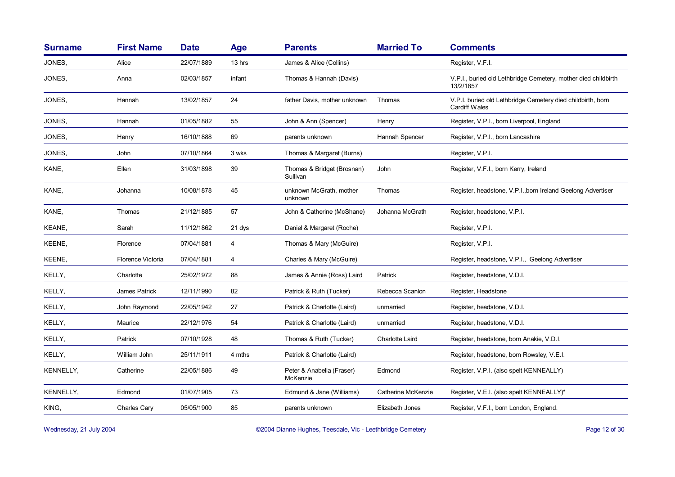| <b>Surname</b>   | <b>First Name</b> | <b>Date</b> | <b>Age</b> | <b>Parents</b>                         | <b>Married To</b>  | <b>Comments</b>                                                                     |
|------------------|-------------------|-------------|------------|----------------------------------------|--------------------|-------------------------------------------------------------------------------------|
| JONES.           | Alice             | 22/07/1889  | 13 hrs     | James & Alice (Collins)                |                    | Register, V.F.I.                                                                    |
| JONES,           | Anna              | 02/03/1857  | infant     | Thomas & Hannah (Davis)                |                    | V.P.I., buried old Lethbridge Cemetery, mother died childbirth<br>13/2/1857         |
| JONES,           | Hannah            | 13/02/1857  | 24         | father Davis, mother unknown           | Thomas             | V.P.I. buried old Lethbridge Cemetery died childbirth, born<br><b>Cardiff Wales</b> |
| JONES.           | Hannah            | 01/05/1882  | 55         | John & Ann (Spencer)                   | Henry              | Register, V.P.I., born Liverpool, England                                           |
| JONES,           | Henry             | 16/10/1888  | 69         | parents unknown                        | Hannah Spencer     | Register, V.P.I., born Lancashire                                                   |
| JONES,           | John              | 07/10/1864  | 3 wks      | Thomas & Margaret (Burns)              |                    | Register, V.P.I.                                                                    |
| KANE,            | Ellen             | 31/03/1898  | 39         | Thomas & Bridget (Brosnan)<br>Sullivan | John               | Register, V.F.I., born Kerry, Ireland                                               |
| KANE,            | Johanna           | 10/08/1878  | 45         | unknown McGrath, mother<br>unknown     | Thomas             | Register, headstone, V.P.I., born Ireland Geelong Advertiser                        |
| KANE,            | Thomas            | 21/12/1885  | 57         | John & Catherine (McShane)             | Johanna McGrath    | Register, headstone, V.P.I.                                                         |
| KEANE,           | Sarah             | 11/12/1862  | 21 dys     | Daniel & Margaret (Roche)              |                    | Register, V.P.I.                                                                    |
| KEENE,           | Florence          | 07/04/1881  | 4          | Thomas & Mary (McGuire)                |                    | Register, V.P.I.                                                                    |
| KEENE,           | Florence Victoria | 07/04/1881  | 4          | Charles & Mary (McGuire)               |                    | Register, headstone, V.P.I., Geelong Advertiser                                     |
| KELLY,           | Charlotte         | 25/02/1972  | 88         | James & Annie (Ross) Laird             | Patrick            | Register, headstone, V.D.I.                                                         |
| KELLY,           | James Patrick     | 12/11/1990  | 82         | Patrick & Ruth (Tucker)                | Rebecca Scanlon    | Register, Headstone                                                                 |
| KELLY,           | John Raymond      | 22/05/1942  | 27         | Patrick & Charlotte (Laird)            | unmarried          | Register, headstone, V.D.I.                                                         |
| KELLY,           | Maurice           | 22/12/1976  | 54         | Patrick & Charlotte (Laird)            | unmarried          | Register, headstone, V.D.I.                                                         |
| KELLY,           | Patrick           | 07/10/1928  | 48         | Thomas & Ruth (Tucker)                 | Charlotte Laird    | Register, headstone, born Anakie, V.D.I.                                            |
| KELLY,           | William John      | 25/11/1911  | 4 mths     | Patrick & Charlotte (Laird)            |                    | Register, headstone, born Rowsley, V.E.I.                                           |
| KENNELLY,        | Catherine         | 22/05/1886  | 49         | Peter & Anabella (Fraser)<br>McKenzie  | Edmond             | Register, V.P.I. (also spelt KENNEALLY)                                             |
| <b>KENNELLY,</b> | Edmond            | 01/07/1905  | 73         | Edmund & Jane (Williams)               | Catherine McKenzie | Register, V.E.I. (also spelt KENNEALLY)*                                            |
| KING,            | Charles Cary      | 05/05/1900  | 85         | parents unknown                        | Elizabeth Jones    | Register, V.F.I., born London, England.                                             |

Wednesday, 21 July 2004 **Dianne Hughes, Teesdale, Vic - Leethbridge Cemetery** Page 12 of 30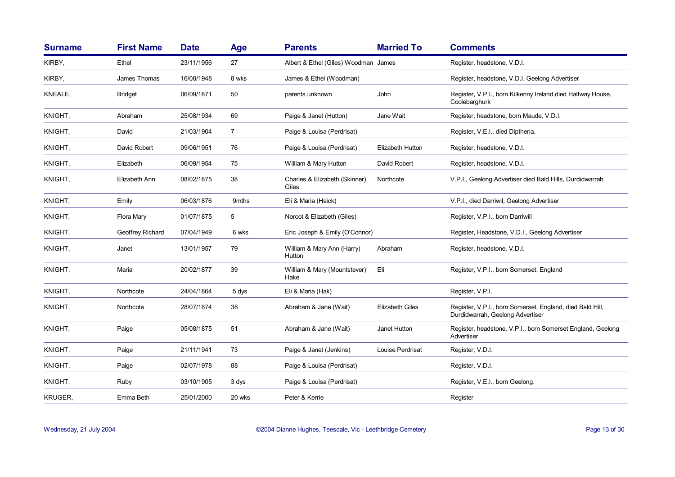| <b>Surname</b> | <b>First Name</b> | <b>Date</b> | <b>Age</b>     | <b>Parents</b>                         | <b>Married To</b>       | <b>Comments</b>                                                                               |
|----------------|-------------------|-------------|----------------|----------------------------------------|-------------------------|-----------------------------------------------------------------------------------------------|
| KIRBY,         | Ethel             | 23/11/1956  | 27             | Albert & Ethel (Giles) Woodman James   |                         | Register, headstone, V.D.I.                                                                   |
| KIRBY,         | James Thomas      | 16/08/1948  | 8 wks          | James & Ethel (Woodman)                |                         | Register, headstone, V.D.I. Geelong Advertiser                                                |
| KNEALE,        | <b>Bridget</b>    | 06/09/1871  | 50             | parents unknown                        | John                    | Register, V.P.I., born Kilkenny Ireland, died Halfway House,<br>Coolebarghurk                 |
| KNIGHT,        | Abraham           | 25/08/1934  | 69             | Paige & Janet (Hutton)                 | Jane Wait               | Register, headstone, born Maude, V.D.I.                                                       |
| KNIGHT,        | David             | 21/03/1904  | $\overline{7}$ | Paige & Louisa (Perdrisat)             |                         | Register, V.E.I., died Diptheria.                                                             |
| KNIGHT,        | David Robert      | 09/06/1951  | 76             | Paige & Louisa (Perdrisat)             | <b>Elizabeth Hutton</b> | Register, headstone, V.D.I.                                                                   |
| KNIGHT,        | Elizabeth         | 06/09/1954  | 75             | William & Mary Hutton                  | David Robert            | Register, headstone, V.D.I.                                                                   |
| KNIGHT,        | Elizabeth Ann     | 08/02/1875  | 38             | Charles & Elizabeth (Skinner)<br>Giles | Northcote               | V.P.I., Geelong Advertiser died Bald Hills, Durdidwarrah                                      |
| KNIGHT,        | Emily             | 06/03/1876  | 9mths          | Eli & Maria (Haick)                    |                         | V.P.I., died Darriwil, Geelong Advertiser                                                     |
| KNIGHT,        | Flora Mary        | 01/07/1875  | 5              | Norcot & Elizabeth (Giles)             |                         | Register, V.P.I., born Darriwill                                                              |
| KNIGHT,        | Geoffrey Richard  | 07/04/1949  | 6 wks          | Eric Joseph & Emily (O'Connor)         |                         | Register, Headstone, V.D.I., Geelong Advertiser                                               |
| KNIGHT,        | Janet             | 13/01/1957  | 79             | William & Mary Ann (Harry)<br>Hutton   | Abraham                 | Register, headstone, V.D.I.                                                                   |
| KNIGHT,        | Maria             | 20/02/1877  | 39             | William & Mary (Mountstever)<br>Hake   | Eli                     | Register, V.P.I., born Somerset, England                                                      |
| KNIGHT,        | Northcote         | 24/04/1864  | 5 dys          | Eli & Maria (Hak)                      |                         | Register, V.P.I.                                                                              |
| KNIGHT,        | Northcote         | 28/07/1874  | 38             | Abraham & Jane (Wait)                  | <b>Elizabeth Giles</b>  | Register, V.P.I., born Somerset, England, died Bald Hill,<br>Durdidwarrah, Geelong Advertiser |
| KNIGHT,        | Paige             | 05/08/1875  | 51             | Abraham & Jane (Wait)                  | Janet Hutton            | Register, headstone, V.P.I., born Somerset England, Geelong<br>Advertiser                     |
| KNIGHT,        | Paige             | 21/11/1941  | 73             | Paige & Janet (Jenkins)                | Louise Perdrisat        | Register, V.D.I.                                                                              |
| KNIGHT,        | Paige             | 02/07/1978  | 88             | Paige & Louisa (Perdrisat)             |                         | Register, V.D.I.                                                                              |
| KNIGHT,        | Ruby              | 03/10/1905  | 3 dys          | Paige & Louisa (Perdrisat)             |                         | Register, V.E.I., born Geelong.                                                               |
| <b>KRUGER.</b> | Emma Beth         | 25/01/2000  | 20 wks         | Peter & Kerrie                         |                         | Register                                                                                      |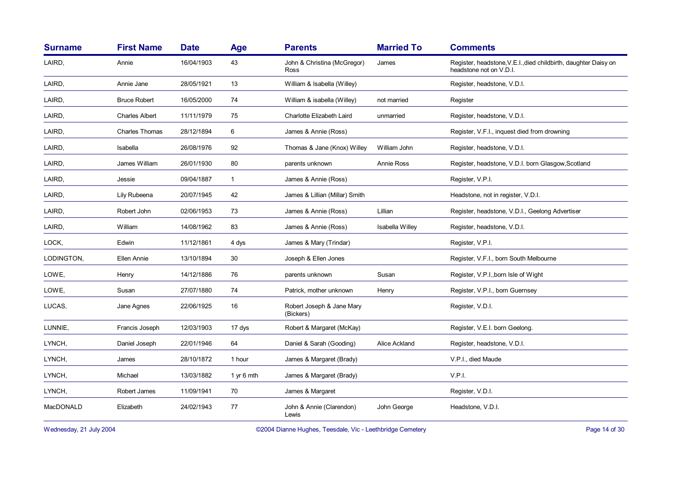| <b>Surname</b> | <b>First Name</b>     | <b>Date</b> | Age          | <b>Parents</b>                         | <b>Married To</b> | <b>Comments</b>                                                                            |
|----------------|-----------------------|-------------|--------------|----------------------------------------|-------------------|--------------------------------------------------------------------------------------------|
| LAIRD,         | Annie                 | 16/04/1903  | 43           | John & Christina (McGregor)<br>Ross    | James             | Register, headstone, V.E.I., died childbirth, daughter Daisy on<br>headstone not on V.D.I. |
| LAIRD,         | Annie Jane            | 28/05/1921  | 13           | William & Isabella (Willey)            |                   | Register, headstone, V.D.I.                                                                |
| LAIRD,         | <b>Bruce Robert</b>   | 16/05/2000  | 74           | William & isabella (Willey)            | not married       | Register                                                                                   |
| LAIRD,         | <b>Charles Albert</b> | 11/11/1979  | 75           | Charlotte Elizabeth Laird              | unmarried         | Register, headstone, V.D.I.                                                                |
| LAIRD,         | <b>Charles Thomas</b> | 28/12/1894  | 6            | James & Annie (Ross)                   |                   | Register, V.F.I., inquest died from drowning                                               |
| LAIRD,         | Isabella              | 26/08/1976  | 92           | Thomas & Jane (Knox) Willey            | William John      | Register, headstone, V.D.I.                                                                |
| LAIRD,         | James William         | 26/01/1930  | 80           | parents unknown                        | Annie Ross        | Register, headstone, V.D.I. born Glasgow, Scotland                                         |
| LAIRD,         | Jessie                | 09/04/1887  | $\mathbf{1}$ | James & Annie (Ross)                   |                   | Register, V.P.I.                                                                           |
| LAIRD,         | Lily Rubeena          | 20/07/1945  | 42           | James & Lillian (Millar) Smith         |                   | Headstone, not in register, V.D.I.                                                         |
| LAIRD,         | Robert John           | 02/06/1953  | 73           | James & Annie (Ross)                   | Lillian           | Register, headstone, V.D.I., Geelong Advertiser                                            |
| LAIRD,         | William               | 14/08/1962  | 83           | James & Annie (Ross)                   | Isabella Willey   | Register, headstone, V.D.I.                                                                |
| LOCK,          | Edwin                 | 11/12/1861  | 4 dys        | James & Mary (Trindar)                 |                   | Register, V.P.I.                                                                           |
| LODINGTON,     | Ellen Annie           | 13/10/1894  | 30           | Joseph & Ellen Jones                   |                   | Register, V.F.I., born South Melbourne                                                     |
| LOWE,          | Henry                 | 14/12/1886  | 76           | parents unknown                        | Susan             | Register, V.P.I., born Isle of Wight                                                       |
| LOWE,          | Susan                 | 27/07/1880  | 74           | Patrick, mother unknown                | Henry             | Register, V.P.I., born Guernsey                                                            |
| LUCAS,         | Jane Agnes            | 22/06/1925  | 16           | Robert Joseph & Jane Mary<br>(Bickers) |                   | Register, V.D.I.                                                                           |
| LUNNIE,        | Francis Joseph        | 12/03/1903  | 17 dys       | Robert & Margaret (McKay)              |                   | Register, V.E.I. born Geelong.                                                             |
| LYNCH,         | Daniel Joseph         | 22/01/1946  | 64           | Daniel & Sarah (Gooding)               | Alice Ackland     | Register, headstone, V.D.I.                                                                |
| LYNCH,         | James                 | 28/10/1872  | 1 hour       | James & Margaret (Brady)               |                   | V.P.I., died Maude                                                                         |
| LYNCH,         | Michael               | 13/03/1882  | 1 yr 6 mth   | James & Margaret (Brady)               |                   | V.P.I.                                                                                     |
| LYNCH,         | Robert James          | 11/09/1941  | 70           | James & Margaret                       |                   | Register, V.D.I.                                                                           |
| MacDONALD      | Elizabeth             | 24/02/1943  | 77           | John & Annie (Clarendon)<br>Lewis      | John George       | Headstone, V.D.I.                                                                          |

Wednesday, 21 July 2004 **Dianne Hughes, Teesdale, Vic - Leethbridge Cemetery** Page 14 of 30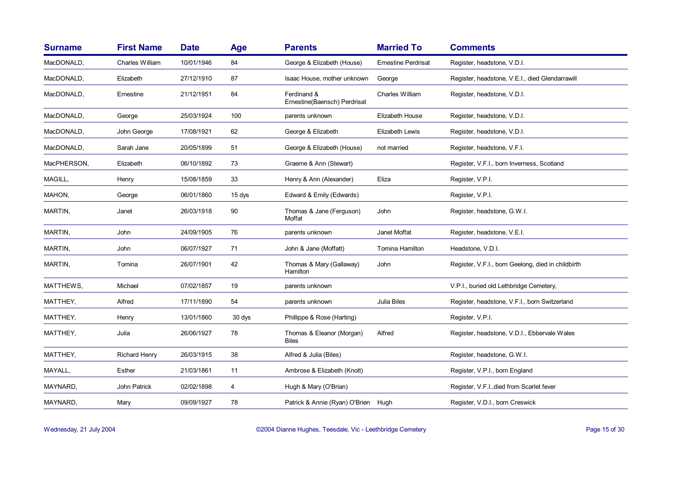| <b>Surname</b> | <b>First Name</b> | <b>Date</b> | Age                     | <b>Parents</b>                              | <b>Married To</b>          | <b>Comments</b>                                    |
|----------------|-------------------|-------------|-------------------------|---------------------------------------------|----------------------------|----------------------------------------------------|
| MacDONALD,     | Charles William   | 10/01/1946  | 84                      | George & Elizabeth (House)                  | <b>Ernestine Perdrisat</b> | Register, headstone, V.D.I.                        |
| MacDONALD,     | Elizabeth         | 27/12/1910  | 87                      | Isaac House, mother unknown                 | George                     | Register, headstone, V.E.I., died Glendarrawill    |
| MacDONALD,     | Ernestine         | 21/12/1951  | 84                      | Ferdinand &<br>Ernestine(Baensch) Perdrisat | Charles William            | Register, headstone, V.D.I.                        |
| MacDONALD,     | George            | 25/03/1924  | 100                     | parents unknown                             | Elizabeth House            | Register, headstone, V.D.I.                        |
| MacDONALD,     | John George       | 17/08/1921  | 62                      | George & Elizabeth                          | Elizabeth Lewis            | Register, headstone, V.D.I.                        |
| MacDONALD,     | Sarah Jane        | 20/05/1899  | 51                      | George & Elizabeth (House)                  | not married                | Register, headstone, V.F.I.                        |
| MacPHERSON,    | Elizabeth         | 06/10/1892  | 73                      | Graeme & Ann (Stewart)                      |                            | Register, V.F.I., born Inverness, Scotland         |
| MAGILL,        | Henry             | 15/08/1859  | 33                      | Henry & Ann (Alexander)                     | Eliza                      | Register, V.P.I.                                   |
| MAHON,         | George            | 06/01/1860  | 15 dys                  | Edward & Emily (Edwards)                    |                            | Register, V.P.I.                                   |
| MARTIN,        | Janet             | 26/03/1918  | 90                      | Thomas & Jane (Ferguson)<br>Moffat          | John                       | Register, headstone, G.W.I.                        |
| MARTIN,        | John              | 24/09/1905  | 76                      | parents unknown                             | Janet Moffat               | Register, headstone, V.E.I.                        |
| MARTIN,        | John              | 06/07/1927  | 71                      | John & Jane (Moffatt)                       | <b>Tomina Hamilton</b>     | Headstone, V.D.I.                                  |
| MARTIN,        | Tomina            | 26/07/1901  | 42                      | Thomas & Mary (Gallaway)<br>Hamilton        | John                       | Register, V.F.I., born Geelong, died in childbirth |
| MATTHEWS,      | Michael           | 07/02/1857  | 19                      | parents unknown                             |                            | V.P.I., buried old Lethbridge Cemetery,            |
| MATTHEY,       | Alfred            | 17/11/1890  | 54                      | parents unknown                             | Julia Biles                | Register, headstone, V.F.I., born Switzerland      |
| MATTHEY,       | Henry             | 13/01/1860  | 30 dys                  | Phillippe & Rose (Harting)                  |                            | Register, V.P.I.                                   |
| MATTHEY,       | Julia             | 26/06/1927  | 78                      | Thomas & Eleanor (Morgan)<br><b>Biles</b>   | Alfred                     | Register, headstone, V.D.I., Ebbervale Wales       |
| MATTHEY,       | Richard Henry     | 26/03/1915  | 38                      | Alfred & Julia (Biles)                      |                            | Register, headstone, G.W.I.                        |
| MAYALL,        | Esther            | 21/03/1861  | 11                      | Ambrose & Elizabeth (Knott)                 |                            | Register, V.P.I., born England                     |
| MAYNARD,       | John Patrick      | 02/02/1898  | $\overline{\mathbf{4}}$ | Hugh & Mary (O'Brian)                       |                            | Register, V.F.I., died from Scarlet fever          |
| MAYNARD,       | Mary              | 09/09/1927  | 78                      | Patrick & Annie (Ryan) O'Brien Hugh         |                            | Register, V.D.I., born Creswick                    |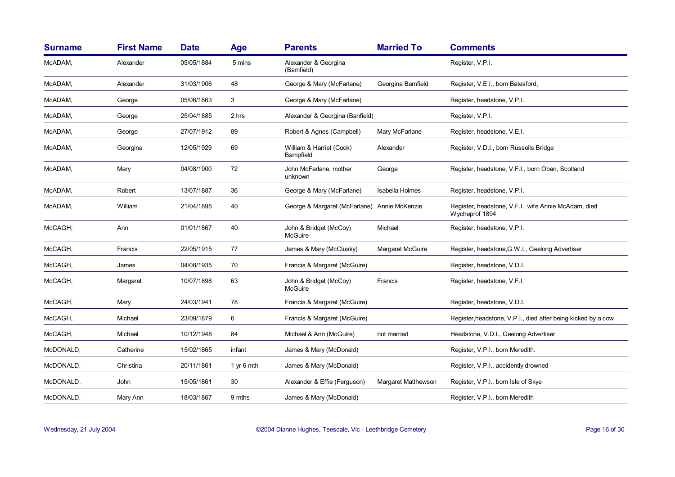| <b>Surname</b> | <b>First Name</b> | <b>Date</b> | <b>Age</b> | <b>Parents</b>                               | <b>Married To</b>   | <b>Comments</b>                                                        |
|----------------|-------------------|-------------|------------|----------------------------------------------|---------------------|------------------------------------------------------------------------|
| McADAM,        | Alexander         | 05/05/1884  | 5 mins     | Alexander & Georgina<br>(Bamfield)           |                     | Register, V.P.I.                                                       |
| McADAM,        | Alexander         | 31/03/1906  | 48         | George & Mary (McFarlane)                    | Georgina Bamfield   | Register, V.E.I., born Batesford,                                      |
| McADAM,        | George            | 05/06/1863  | 3          | George & Mary (McFarlane)                    |                     | Register, headstone, V.P.I.                                            |
| McADAM,        | George            | 25/04/1885  | 2 hrs      | Alexander & Georgina (Banfield)              |                     | Register, V.P.I.                                                       |
| McADAM,        | George            | 27/07/1912  | 89         | Robert & Agnes (Campbell)                    | Mary McFarlane      | Register, headstone, V.E.I.                                            |
| McADAM,        | Georgina          | 12/05/1929  | 69         | William & Harriet (Cook)<br>Bampfield        | Alexander           | Register, V.D.I., born Russells Bridge                                 |
| McADAM,        | Mary              | 04/08/1900  | 72         | John McFarlane, mother<br>unknown            | George              | Register, headstone, V.F.I., born Oban, Scotland                       |
| McADAM,        | Robert            | 13/07/1887  | 36         | George & Mary (McFarlane)                    | Isabella Holmes     | Register, headstone, V.P.I.                                            |
| McADAM,        | William           | 21/04/1895  | 40         | George & Margaret (McFarlane) Annie McKenzie |                     | Register, headstone, V.F.I., wife Annie McAdam, died<br>Wycheprof 1894 |
| McCAGH,        | Ann               | 01/01/1867  | 40         | John & Bridget (McCoy)<br><b>McGuire</b>     | Michael             | Register, headstone, V.P.I.                                            |
| McCAGH,        | Francis           | 22/05/1915  | 77         | James & Mary (McClusky)                      | Margaret McGuire    | Register, headstone, G.W.I., Geelong Advertiser                        |
| McCAGH,        | James             | 04/08/1935  | 70         | Francis & Margaret (McGuire)                 |                     | Register, headstone, V.D.I.                                            |
| McCAGH,        | Margaret          | 10/07/1898  | 63         | John & Bridget (McCoy)<br><b>McGuire</b>     | Francis             | Register, headstone, V.F.I.                                            |
| McCAGH,        | Mary              | 24/03/1941  | 78         | Francis & Margaret (McGuire)                 |                     | Register, headstone, V.D.I.                                            |
| McCAGH,        | Michael           | 23/09/1879  | 6          | Francis & Margaret (McGuire)                 |                     | Register, headstone, V.P.I., died after being kicked by a cow          |
| McCAGH,        | Michael           | 10/12/1948  | 84         | Michael & Ann (McGuire)                      | not married         | Headstone, V.D.I., Geelong Advertiser                                  |
| McDONALD,      | Catherine         | 15/02/1865  | infant     | James & Mary (McDonald)                      |                     | Register, V.P.I., born Meredith.                                       |
| McDONALD,      | Christina         | 20/11/1861  | 1 yr 6 mth | James & Mary (McDonald)                      |                     | Register, V.P.I., accidently drowned                                   |
| McDONALD,      | John              | 15/05/1861  | 30         | Alexander & Effie (Ferguson)                 | Margaret Matthewson | Register, V.P.I., born Isle of Skye                                    |
| McDONALD,      | Mary Ann          | 18/03/1867  | 9 mths     | James & Mary (McDonald)                      |                     | Register, V.P.I., born Meredith                                        |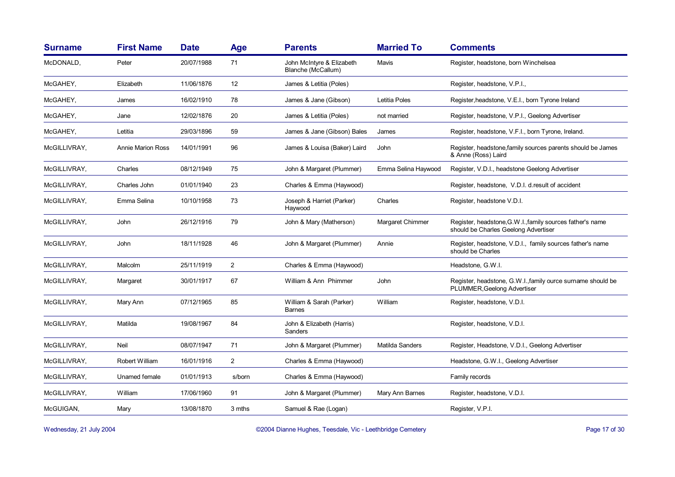| <b>Surname</b> | <b>First Name</b>        | <b>Date</b> | <b>Age</b>     | <b>Parents</b>                                  | <b>Married To</b>   | <b>Comments</b>                                                                                   |
|----------------|--------------------------|-------------|----------------|-------------------------------------------------|---------------------|---------------------------------------------------------------------------------------------------|
| McDONALD,      | Peter                    | 20/07/1988  | 71             | John McIntyre & Elizabeth<br>Blanche (McCallum) | Mavis               | Register, headstone, born Winchelsea                                                              |
| McGAHEY,       | Elizabeth                | 11/06/1876  | 12             | James & Letitia (Poles)                         |                     | Register, headstone, V.P.I.,                                                                      |
| McGAHEY,       | James                    | 16/02/1910  | 78             | James & Jane (Gibson)                           | Letitia Poles       | Register, headstone, V.E.I., born Tyrone Ireland                                                  |
| McGAHEY,       | Jane                     | 12/02/1876  | 20             | James & Letitia (Poles)                         | not married         | Register, headstone, V.P.I., Geelong Advertiser                                                   |
| McGAHEY,       | Letitia                  | 29/03/1896  | 59             | James & Jane (Gibson) Bales                     | James               | Register, headstone, V.F.I., born Tyrone, Ireland.                                                |
| McGILLIVRAY,   | <b>Annie Marion Ross</b> | 14/01/1991  | 96             | James & Louisa (Baker) Laird                    | John                | Register, headstone, family sources parents should be James<br>& Anne (Ross) Laird                |
| McGILLIVRAY,   | Charles                  | 08/12/1949  | 75             | John & Margaret (Plummer)                       | Emma Selina Haywood | Register, V.D.I., headstone Geelong Advertiser                                                    |
| McGILLIVRAY,   | Charles John             | 01/01/1940  | 23             | Charles & Emma (Haywood)                        |                     | Register, headstone, V.D.I. d.result of accident                                                  |
| McGILLIVRAY,   | Emma Selina              | 10/10/1958  | 73             | Joseph & Harriet (Parker)<br>Haywood            | Charles             | Register, headstone V.D.I.                                                                        |
| McGILLIVRAY,   | John                     | 26/12/1916  | 79             | John & Mary (Matherson)                         | Margaret Chimmer    | Register, headstone, G.W.I., family sources father's name<br>should be Charles Geelong Advertiser |
| McGILLIVRAY.   | John                     | 18/11/1928  | 46             | John & Margaret (Plummer)                       | Annie               | Register, headstone, V.D.I., family sources father's name<br>should be Charles                    |
| McGILLIVRAY,   | Malcolm                  | 25/11/1919  | $\overline{a}$ | Charles & Emma (Haywood)                        |                     | Headstone, G.W.I.                                                                                 |
| McGILLIVRAY,   | Margaret                 | 30/01/1917  | 67             | William & Ann Phimmer                           | John                | Register, headstone, G.W.I.,family ource surname should be<br>PLUMMER, Geelong Advertiser         |
| McGILLIVRAY,   | Mary Ann                 | 07/12/1965  | 85             | William & Sarah (Parker)<br><b>Barnes</b>       | William             | Register, headstone, V.D.I.                                                                       |
| McGILLIVRAY,   | Matilda                  | 19/08/1967  | 84             | John & Elizabeth (Harris)<br>Sanders            |                     | Register, headstone, V.D.I.                                                                       |
| McGILLIVRAY,   | Neil                     | 08/07/1947  | 71             | John & Margaret (Plummer)                       | Matilda Sanders     | Register, Headstone, V.D.I., Geelong Advertiser                                                   |
| McGILLIVRAY,   | Robert William           | 16/01/1916  | $\overline{2}$ | Charles & Emma (Haywood)                        |                     | Headstone, G.W.I., Geelong Advertiser                                                             |
| McGILLIVRAY,   | Unamed female            | 01/01/1913  | s/born         | Charles & Emma (Haywood)                        |                     | Family records                                                                                    |
| McGILLIVRAY,   | William                  | 17/06/1960  | 91             | John & Margaret (Plummer)                       | Mary Ann Barnes     | Register, headstone, V.D.I.                                                                       |
| McGUIGAN,      | Mary                     | 13/08/1870  | 3 mths         | Samuel & Rae (Logan)                            |                     | Register, V.P.I.                                                                                  |

Wednesday, 21 July 2004 **Dianne Hughes, Teesdale, Vic - Leethbridge Cemetery** Page 17 of 30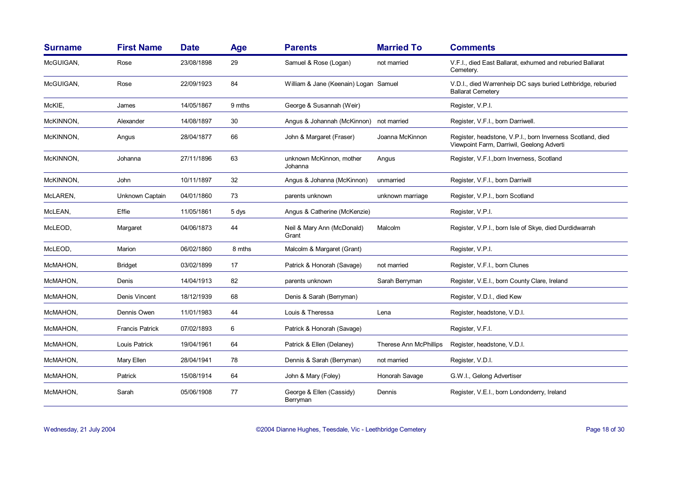| <b>Surname</b> | <b>First Name</b>      | <b>Date</b> | <b>Age</b> | <b>Parents</b>                          | <b>Married To</b>      | <b>Comments</b>                                                                                         |
|----------------|------------------------|-------------|------------|-----------------------------------------|------------------------|---------------------------------------------------------------------------------------------------------|
| McGUIGAN,      | Rose                   | 23/08/1898  | 29         | Samuel & Rose (Logan)                   | not married            | V.F.I., died East Ballarat, exhumed and reburied Ballarat<br>Cemetery.                                  |
| McGUIGAN,      | Rose                   | 22/09/1923  | 84         | William & Jane (Keenain) Logan Samuel   |                        | V.D.I., died Warrenheip DC says buried Lethbridge, reburied<br><b>Ballarat Cemeterv</b>                 |
| McKIE,         | James                  | 14/05/1867  | 9 mths     | George & Susannah (Weir)                |                        | Register, V.P.I.                                                                                        |
| McKINNON,      | Alexander              | 14/08/1897  | 30         | Angus & Johannah (McKinnon) not married |                        | Register, V.F.I., born Darriwell.                                                                       |
| McKINNON,      | Angus                  | 28/04/1877  | 66         | John & Margaret (Fraser)                | Joanna McKinnon        | Register, headstone, V.P.I., born Inverness Scotland, died<br>Viewpoint Farm, Darriwil, Geelong Adverti |
| McKINNON,      | Johanna                | 27/11/1896  | 63         | unknown McKinnon, mother<br>Johanna     | Angus                  | Register, V.F.I., born Inverness, Scotland                                                              |
| McKINNON,      | John                   | 10/11/1897  | 32         | Angus & Johanna (McKinnon)              | unmarried              | Register, V.F.I., born Darriwill                                                                        |
| McLAREN,       | Unknown Captain        | 04/01/1860  | 73         | parents unknown                         | unknown marriage       | Register, V.P.I., born Scotland                                                                         |
| McLEAN,        | Effie                  | 11/05/1861  | 5 dys      | Angus & Catherine (McKenzie)            |                        | Register, V.P.I.                                                                                        |
| McLEOD,        | Margaret               | 04/06/1873  | 44         | Neil & Mary Ann (McDonald)<br>Grant     | Malcolm                | Register, V.P.I., born Isle of Skye, died Durdidwarrah                                                  |
| McLEOD,        | Marion                 | 06/02/1860  | 8 mths     | Malcolm & Margaret (Grant)              |                        | Register, V.P.I.                                                                                        |
| McMAHON,       | <b>Bridget</b>         | 03/02/1899  | 17         | Patrick & Honorah (Savage)              | not married            | Register, V.F.I., born Clunes                                                                           |
| McMAHON,       | Denis                  | 14/04/1913  | 82         | parents unknown                         | Sarah Berryman         | Register, V.E.I., born County Clare, Ireland                                                            |
| McMAHON,       | Denis Vincent          | 18/12/1939  | 68         | Denis & Sarah (Berryman)                |                        | Register, V.D.I., died Kew                                                                              |
| McMAHON,       | Dennis Owen            | 11/01/1983  | 44         | Louis & Theressa                        | Lena                   | Register, headstone, V.D.I.                                                                             |
| McMAHON,       | <b>Francis Patrick</b> | 07/02/1893  | 6          | Patrick & Honorah (Savage)              |                        | Register, V.F.I.                                                                                        |
| McMAHON,       | Louis Patrick          | 19/04/1961  | 64         | Patrick & Ellen (Delaney)               | Therese Ann McPhillips | Register, headstone, V.D.I.                                                                             |
| McMAHON,       | Mary Ellen             | 28/04/1941  | 78         | Dennis & Sarah (Berryman)               | not married            | Register, V.D.I.                                                                                        |
| McMAHON,       | Patrick                | 15/08/1914  | 64         | John & Mary (Foley)                     | Honorah Savage         | G.W.I., Gelong Advertiser                                                                               |
| McMAHON,       | Sarah                  | 05/06/1908  | 77         | George & Ellen (Cassidy)<br>Berryman    | Dennis                 | Register, V.E.I., born Londonderry, Ireland                                                             |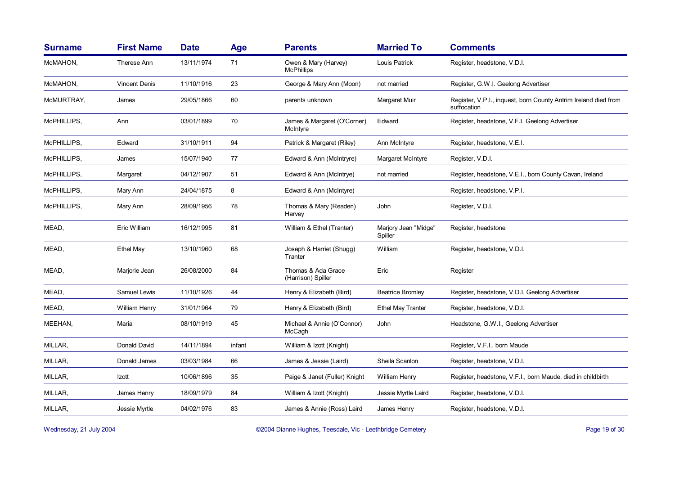| <b>Surname</b> | <b>First Name</b>    | <b>Date</b> | <b>Age</b> | <b>Parents</b>                            | <b>Married To</b>               | <b>Comments</b>                                                                |
|----------------|----------------------|-------------|------------|-------------------------------------------|---------------------------------|--------------------------------------------------------------------------------|
| McMAHON,       | Therese Ann          | 13/11/1974  | 71         | Owen & Mary (Harvey)<br><b>McPhillips</b> | Louis Patrick                   | Register, headstone, V.D.I.                                                    |
| McMAHON,       | <b>Vincent Denis</b> | 11/10/1916  | 23         | George & Mary Ann (Moon)                  | not married                     | Register, G.W.I. Geelong Advertiser                                            |
| McMURTRAY,     | James                | 29/05/1866  | 60         | parents unknown                           | Margaret Muir                   | Register, V.P.I., inquest, born County Antrim Ireland died from<br>suffocation |
| McPHILLIPS,    | Ann                  | 03/01/1899  | 70         | James & Margaret (O'Corner)<br>McIntyre   | Edward                          | Register, headstone, V.F.I. Geelong Advertiser                                 |
| McPHILLIPS,    | Edward               | 31/10/1911  | 94         | Patrick & Margaret (Riley)                | Ann McIntyre                    | Register, headstone, V.E.I.                                                    |
| McPHILLIPS,    | James                | 15/07/1940  | 77         | Edward & Ann (McIntryre)                  | Margaret McIntyre               | Register, V.D.I.                                                               |
| McPHILLIPS,    | Margaret             | 04/12/1907  | 51         | Edward & Ann (McIntrye)                   | not married                     | Register, headstone, V.E.I., born County Cavan, Ireland                        |
| McPHILLIPS,    | Mary Ann             | 24/04/1875  | 8          | Edward & Ann (McIntyre)                   |                                 | Register, headstone, V.P.I.                                                    |
| McPHILLIPS,    | Mary Ann             | 28/09/1956  | 78         | Thomas & Mary (Readen)<br>Harvey          | John                            | Register, V.D.I.                                                               |
| MEAD,          | Eric William         | 16/12/1995  | 81         | William & Ethel (Tranter)                 | Marjory Jean "Midge"<br>Spiller | Register, headstone                                                            |
| MEAD,          | Ethel May            | 13/10/1960  | 68         | Joseph & Harriet (Shugg)<br>Tranter       | William                         | Register, headstone, V.D.I.                                                    |
| MEAD,          | Marjorie Jean        | 26/08/2000  | 84         | Thomas & Ada Grace<br>(Harrison) Spiller  | Eric                            | Register                                                                       |
| MEAD,          | Samuel Lewis         | 11/10/1926  | 44         | Henry & Elizabeth (Bird)                  | <b>Beatrice Bromley</b>         | Register, headstone, V.D.I. Geelong Advertiser                                 |
| MEAD,          | William Henry        | 31/01/1964  | 79         | Henry & Elizabeth (Bird)                  | <b>Ethel May Tranter</b>        | Register, headstone, V.D.I.                                                    |
| MEEHAN,        | Maria                | 08/10/1919  | 45         | Michael & Annie (O'Connor)<br>McCagh      | John                            | Headstone, G.W.I., Geelong Advertiser                                          |
| MILLAR,        | Donald David         | 14/11/1894  | infant     | William & Izott (Knight)                  |                                 | Register, V.F.I., born Maude                                                   |
| MILLAR,        | Donald James         | 03/03/1984  | 66         | James & Jessie (Laird)                    | Sheila Scanlon                  | Register, headstone, V.D.I.                                                    |
| MILLAR,        | Izott                | 10/06/1896  | 35         | Paige & Janet (Fuller) Knight             | <b>William Henry</b>            | Register, headstone, V.F.I., born Maude, died in childbirth                    |
| MILLAR,        | James Henry          | 18/09/1979  | 84         | William & Izott (Knight)                  | Jessie Myrtle Laird             | Register, headstone, V.D.I.                                                    |
| MILLAR,        | Jessie Myrtle        | 04/02/1976  | 83         | James & Annie (Ross) Laird                | James Henry                     | Register, headstone, V.D.I.                                                    |

Wednesday, 21 July 2004 **Dianne Hughes, Teesdale, Vic - Leethbridge Cemetery** Page 19 of 30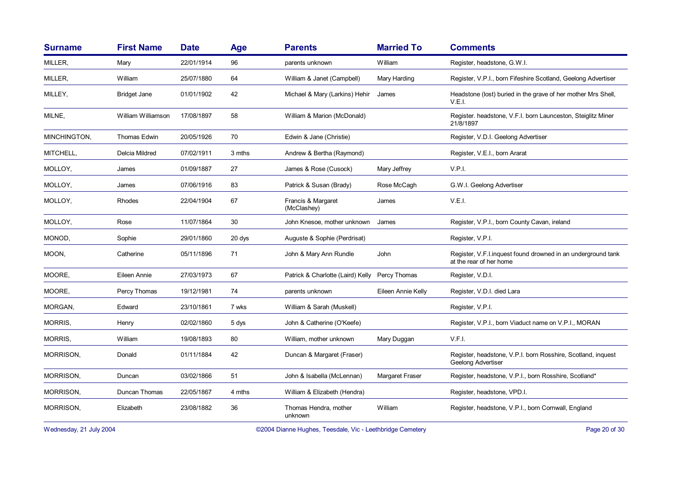| <b>Surname</b> | <b>First Name</b>     | <b>Date</b> | Age    | <b>Parents</b>                    | <b>Married To</b>  | <b>Comments</b>                                                                          |
|----------------|-----------------------|-------------|--------|-----------------------------------|--------------------|------------------------------------------------------------------------------------------|
| MILLER,        | Mary                  | 22/01/1914  | 96     | parents unknown                   | William            | Register, headstone, G.W.I.                                                              |
| MILLER,        | William               | 25/07/1880  | 64     | William & Janet (Campbell)        | Mary Harding       | Register, V.P.I., born Fifeshire Scotland, Geelong Advertiser                            |
| MILLEY,        | <b>Bridget Jane</b>   | 01/01/1902  | 42     | Michael & Mary (Larkins) Hehir    | James              | Headstone (lost) buried in the grave of her mother Mrs Shell,<br>V.E.I.                  |
| MILNE,         | William Williamson    | 17/08/1897  | 58     | William & Marion (McDonald)       |                    | Register, headstone, V.F.I. born Launceston, Steiglitz Miner<br>21/8/1897                |
| MINCHINGTON,   | <b>Thomas Edwin</b>   | 20/05/1926  | 70     | Edwin & Jane (Christie)           |                    | Register, V.D.I. Geelong Advertiser                                                      |
| MITCHELL,      | <b>Delcia Mildred</b> | 07/02/1911  | 3 mths | Andrew & Bertha (Raymond)         |                    | Register, V.E.I., born Ararat                                                            |
| MOLLOY,        | James                 | 01/09/1887  | 27     | James & Rose (Cusock)             | Mary Jeffrey       | V.P.I.                                                                                   |
| MOLLOY,        | James                 | 07/06/1916  | 83     | Patrick & Susan (Brady)           | Rose McCagh        | G.W.I. Geelong Advertiser                                                                |
| MOLLOY,        | Rhodes                | 22/04/1904  | 67     | Francis & Margaret<br>(McClashey) | James              | V.E.I.                                                                                   |
| MOLLOY,        | Rose                  | 11/07/1864  | 30     | John Knesoe, mother unknown       | James              | Register, V.P.I., born County Cavan, ireland                                             |
| MONOD,         | Sophie                | 29/01/1860  | 20 dys | Auguste & Sophie (Perdrisat)      |                    | Register, V.P.I.                                                                         |
| MOON,          | Catherine             | 05/11/1896  | 71     | John & Mary Ann Rundle            | John               | Register, V.F.I. inquest found drowned in an underground tank<br>at the rear of her home |
| MOORE,         | Eileen Annie          | 27/03/1973  | 67     | Patrick & Charlotte (Laird) Kelly | Percy Thomas       | Register, V.D.I.                                                                         |
| MOORE,         | Percy Thomas          | 19/12/1981  | 74     | parents unknown                   | Eileen Annie Kelly | Register, V.D.I. died Lara                                                               |
| MORGAN,        | Edward                | 23/10/1861  | 7 wks  | William & Sarah (Muskell)         |                    | Register, V.P.I.                                                                         |
| <b>MORRIS,</b> | Henry                 | 02/02/1860  | 5 dys  | John & Catherine (O'Keefe)        |                    | Register, V.P.I., born Viaduct name on V.P.I., MORAN                                     |
| MORRIS,        | William               | 19/08/1893  | 80     | William, mother unknown           | Mary Duggan        | V.F.I.                                                                                   |
| MORRISON,      | Donald                | 01/11/1884  | 42     | Duncan & Margaret (Fraser)        |                    | Register, headstone, V.P.I. born Rosshire, Scotland, inquest<br>Geelong Advertiser       |
| MORRISON,      | Duncan                | 03/02/1866  | 51     | John & Isabella (McLennan)        | Margaret Fraser    | Register, headstone, V.P.I., born Rosshire, Scotland*                                    |
| MORRISON,      | Duncan Thomas         | 22/05/1867  | 4 mths | William & Elizabeth (Hendra)      |                    | Register, headstone, VPD.I.                                                              |
| MORRISON,      | Elizabeth             | 23/08/1882  | 36     | Thomas Hendra, mother<br>unknown  | William            | Register, headstone, V.P.I., born Cornwall, England                                      |

Wednesday, 21 July 2004 **Dianne Hughes, Teesdale, Vic - Leethbridge Cemetery** Page 20 of 30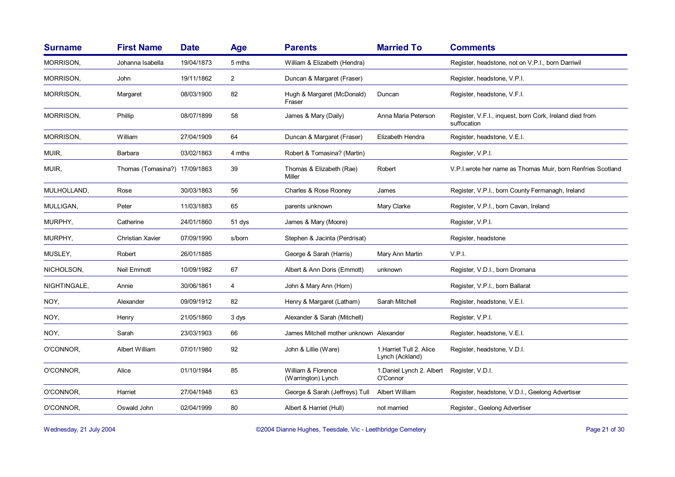| <b>Surname</b>   | <b>First Name</b>             | <b>Date</b> | Age            | <b>Parents</b>                           | <b>Married To</b>                           | <b>Comments</b>                                                        |
|------------------|-------------------------------|-------------|----------------|------------------------------------------|---------------------------------------------|------------------------------------------------------------------------|
| MORRISON,        | Johanna Isabella              | 19/04/1873  | 5 mths         | William & Elizabeth (Hendra)             |                                             | Register, headstone, not on V.P.I., born Darriwil                      |
| <b>MORRISON,</b> | John                          | 19/11/1862  | $\overline{2}$ | Duncan & Margaret (Fraser)               |                                             | Register, headstone, V.P.I.                                            |
| MORRISON,        | Margaret                      | 08/03/1900  | 82             | Hugh & Margaret (McDonald)<br>Fraser     | Duncan                                      | Register, headstone, V.F.I.                                            |
| MORRISON,        | Phillip                       | 08/07/1899  | 58             | James & Mary (Daily)                     | Anna Maria Peterson                         | Register, V.F.I., inquest, born Cork, Ireland died from<br>suffocation |
| <b>MORRISON,</b> | William                       | 27/04/1909  | 64             | Duncan & Margaret (Fraser)               | Elizabeth Hendra                            | Register, headstone, V.E.I.                                            |
| MUIR,            | Barbara                       | 03/02/1863  | 4 mths         | Robert & Tomasina? (Martin)              |                                             | Register, V.P.I.                                                       |
| MUIR,            | Thomas (Tomasina?) 17/09/1863 |             | 39             | Thomas & Elizabeth (Rae)<br>Miller       | Robert                                      | V.P.I. wrote her name as Thomas Muir, born Renfries Scotland           |
| MULHOLLAND,      | Rose                          | 30/03/1863  | 56             | Charles & Rose Rooney                    | James                                       | Register, V.P.I., born County Fermanagh, Ireland                       |
| MULLIGAN,        | Peter                         | 11/03/1883  | 65             | parents unknown                          | Mary Clarke                                 | Register, V.P.I., born Cavan, Ireland                                  |
| MURPHY,          | Catherine                     | 24/01/1860  | 51 dys         | James & Mary (Moore)                     |                                             | Register, V.P.I.                                                       |
| MURPHY,          | <b>Christian Xavier</b>       | 07/09/1990  | s/born         | Stephen & Jacinta (Perdrisat)            |                                             | Register, headstone                                                    |
| MUSLEY,          | Robert                        | 26/01/1885  |                | George & Sarah (Harris)                  | Mary Ann Martin                             | V.P.I.                                                                 |
| NICHOLSON,       | <b>Neil Emmott</b>            | 10/09/1982  | 67             | Albert & Ann Doris (Emmott)              | unknown                                     | Register, V.D.I., born Dromana                                         |
| NIGHTINGALE,     | Annie                         | 30/06/1861  | 4              | John & Mary Ann (Horn)                   |                                             | Register, V.P.I., born Ballarat                                        |
| NOY,             | Alexander                     | 09/09/1912  | 82             | Henry & Margaret (Latham)                | Sarah Mitchell                              | Register, headstone, V.E.I.                                            |
| NOY,             | Henry                         | 21/05/1860  | 3 dys          | Alexander & Sarah (Mitchell)             |                                             | Register, V.P.I.                                                       |
| NOY,             | Sarah                         | 23/03/1903  | 66             | James Mitchell mother unknown Alexander  |                                             | Register, headstone, V.E.I.                                            |
| O'CONNOR,        | Albert William                | 07/01/1980  | 92             | John & Lillie (Ware)                     | 1. Harriet Tull 2. Alice<br>Lynch (Ackland) | Register, headstone, V.D.I.                                            |
| O'CONNOR,        | Alice                         | 01/10/1984  | 85             | William & Florence<br>(Warrington) Lynch | 1. Daniel Lynch 2. Albert<br>O'Connor       | Register, V.D.I.                                                       |
| O'CONNOR,        | Harriet                       | 27/04/1948  | 63             | George & Sarah (Jeffreys) Tull           | Albert William                              | Register, headstone, V.D.I., Geelong Advertiser                        |
| O'CONNOR,        | Oswald John                   | 02/04/1999  | 80             | Albert & Harriet (Hull)                  | not married                                 | Register., Geelong Advertiser                                          |

Wednesday, 21 July 2004 **Dianne Hughes, Teesdale, Vic - Leethbridge Cemetery** Page 21 of 30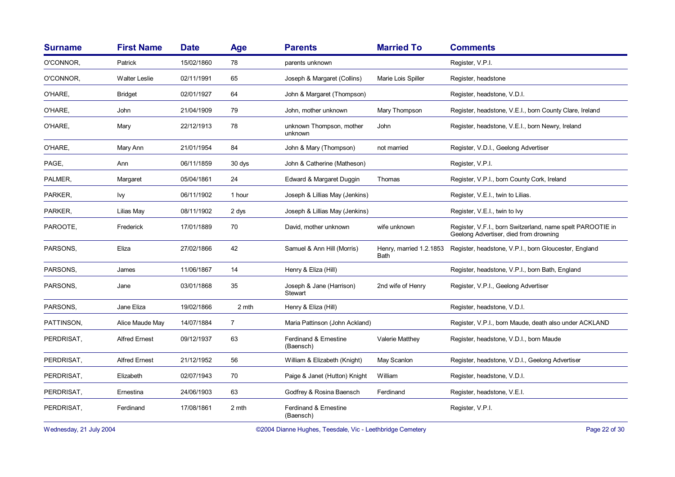| <b>Surname</b> | <b>First Name</b>    | <b>Date</b> | Age            | <b>Parents</b>                      | <b>Married To</b>                      | <b>Comments</b>                                                                                      |
|----------------|----------------------|-------------|----------------|-------------------------------------|----------------------------------------|------------------------------------------------------------------------------------------------------|
| O'CONNOR,      | Patrick              | 15/02/1860  | 78             | parents unknown                     |                                        | Register, V.P.I.                                                                                     |
| O'CONNOR,      | <b>Walter Leslie</b> | 02/11/1991  | 65             | Joseph & Margaret (Collins)         | Marie Lois Spiller                     | Register, headstone                                                                                  |
| O'HARE,        | <b>Bridget</b>       | 02/01/1927  | 64             | John & Margaret (Thompson)          |                                        | Register, headstone, V.D.I.                                                                          |
| O'HARE,        | John                 | 21/04/1909  | 79             | John, mother unknown                | Mary Thompson                          | Register, headstone, V.E.I., born County Clare, Ireland                                              |
| O'HARE,        | Mary                 | 22/12/1913  | 78             | unknown Thompson, mother<br>unknown | John                                   | Register, headstone, V.E.I., born Newry, Ireland                                                     |
| O'HARE,        | Mary Ann             | 21/01/1954  | 84             | John & Mary (Thompson)              | not married                            | Register, V.D.I., Geelong Advertiser                                                                 |
| PAGE,          | Ann                  | 06/11/1859  | 30 dys         | John & Catherine (Matheson)         |                                        | Register, V.P.I.                                                                                     |
| PALMER,        | Margaret             | 05/04/1861  | 24             | Edward & Margaret Duggin            | Thomas                                 | Register, V.P.I., born County Cork, Ireland                                                          |
| PARKER,        | Ivy                  | 06/11/1902  | 1 hour         | Joseph & Lillias May (Jenkins)      |                                        | Register, V.E.I., twin to Lilias.                                                                    |
| PARKER,        | Lilias May           | 08/11/1902  | 2 dys          | Joseph & Lillias May (Jenkins)      |                                        | Register, V.E.I., twin to Ivy                                                                        |
| PAROOTE,       | Frederick            | 17/01/1889  | 70             | David, mother unknown               | wife unknown                           | Register, V.F.I., born Switzerland, name spelt PAROOTIE in<br>Geelong Advertiser, died from drowning |
| PARSONS,       | Eliza                | 27/02/1866  | 42             | Samuel & Ann Hill (Morris)          | Henry, married 1.2.1853<br><b>Bath</b> | Register, headstone, V.P.I., born Gloucester, England                                                |
| PARSONS,       | James                | 11/06/1867  | 14             | Henry & Eliza (Hill)                |                                        | Register, headstone, V.P.I., born Bath, England                                                      |
| PARSONS,       | Jane                 | 03/01/1868  | 35             | Joseph & Jane (Harrison)<br>Stewart | 2nd wife of Henry                      | Register, V.P.I., Geelong Advertiser                                                                 |
| PARSONS,       | Jane Eliza           | 19/02/1866  | 2 mth          | Henry & Eliza (Hill)                |                                        | Register, headstone, V.D.I.                                                                          |
| PATTINSON,     | Alice Maude May      | 14/07/1884  | $\overline{7}$ | Maria Pattinson (John Ackland)      |                                        | Register, V.P.I., born Maude, death also under ACKLAND                                               |
| PERDRISAT,     | <b>Alfred Ernest</b> | 09/12/1937  | 63             | Ferdinand & Ernestine<br>(Baensch)  | Valerie Matthey                        | Register, headstone, V.D.I., born Maude                                                              |
| PERDRISAT,     | <b>Alfred Ernest</b> | 21/12/1952  | 56             | William & Elizabeth (Knight)        | May Scanlon                            | Register, headstone, V.D.I., Geelong Advertiser                                                      |
| PERDRISAT,     | Elizabeth            | 02/07/1943  | 70             | Paige & Janet (Hutton) Knight       | William                                | Register, headstone, V.D.I.                                                                          |
| PERDRISAT,     | Ernestina            | 24/06/1903  | 63             | Godfrey & Rosina Baensch            | Ferdinand                              | Register, headstone, V.E.I.                                                                          |
| PERDRISAT,     | Ferdinand            | 17/08/1861  | 2 mth          | Ferdinand & Ernestine<br>(Baensch)  |                                        | Register, V.P.I.                                                                                     |

Wednesday, 21 July 2004 **Dianne Hughes, Teesdale, Vic - Leethbridge Cemetery** Page 22 of 30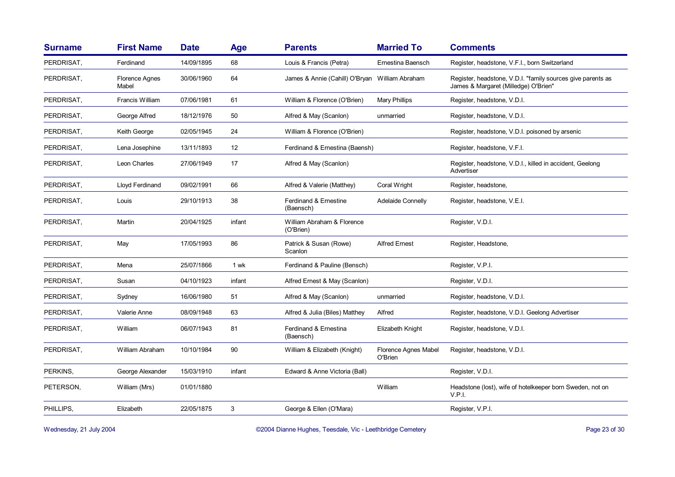| <b>Surname</b> | <b>First Name</b>              | <b>Date</b> | <b>Age</b> | <b>Parents</b>                                 | <b>Married To</b>               | <b>Comments</b>                                                                                     |
|----------------|--------------------------------|-------------|------------|------------------------------------------------|---------------------------------|-----------------------------------------------------------------------------------------------------|
| PERDRISAT,     | Ferdinand                      | 14/09/1895  | 68         | Louis & Francis (Petra)                        | Ernestina Baensch               | Register, headstone, V.F.I., born Switzerland                                                       |
| PERDRISAT,     | <b>Florence Agnes</b><br>Mabel | 30/06/1960  | 64         | James & Annie (Cahill) O'Bryan William Abraham |                                 | Register, headstone, V.D.I. "family sources give parents as<br>James & Margaret (Milledge) O'Brien" |
| PERDRISAT,     | Francis William                | 07/06/1981  | 61         | William & Florence (O'Brien)                   | Mary Phillips                   | Register, headstone, V.D.I.                                                                         |
| PERDRISAT,     | George Alfred                  | 18/12/1976  | 50         | Alfred & May (Scanlon)                         | unmarried                       | Register, headstone, V.D.I.                                                                         |
| PERDRISAT,     | Keith George                   | 02/05/1945  | 24         | William & Florence (O'Brien)                   |                                 | Register, headstone, V.D.I. poisoned by arsenic                                                     |
| PERDRISAT,     | Lena Josephine                 | 13/11/1893  | 12         | Ferdinand & Ernestina (Baensh)                 |                                 | Register, headstone, V.F.I.                                                                         |
| PERDRISAT,     | Leon Charles                   | 27/06/1949  | 17         | Alfred & May (Scanlon)                         |                                 | Register, headstone, V.D.I., killed in accident, Geelong<br>Advertiser                              |
| PERDRISAT,     | Lloyd Ferdinand                | 09/02/1991  | 66         | Alfred & Valerie (Matthey)                     | Coral Wright                    | Register, headstone,                                                                                |
| PERDRISAT,     | Louis                          | 29/10/1913  | 38         | Ferdinand & Ernestine<br>(Baensch)             | Adelaide Connelly               | Register, headstone, V.E.I.                                                                         |
| PERDRISAT,     | Martin                         | 20/04/1925  | infant     | William Abraham & Florence<br>(O'Brien)        |                                 | Register, V.D.I.                                                                                    |
| PERDRISAT,     | May                            | 17/05/1993  | 86         | Patrick & Susan (Rowe)<br>Scanlon              | <b>Alfred Ernest</b>            | Register, Headstone,                                                                                |
| PERDRISAT,     | Mena                           | 25/07/1866  | 1 wk       | Ferdinand & Pauline (Bensch)                   |                                 | Register, V.P.I.                                                                                    |
| PERDRISAT,     | Susan                          | 04/10/1923  | infant     | Alfred Ernest & May (Scanlon)                  |                                 | Register, V.D.I.                                                                                    |
| PERDRISAT,     | Sydney                         | 16/06/1980  | 51         | Alfred & May (Scanlon)                         | unmarried                       | Register, headstone, V.D.I.                                                                         |
| PERDRISAT,     | Valerie Anne                   | 08/09/1948  | 63         | Alfred & Julia (Biles) Matthey                 | Alfred                          | Register, headstone, V.D.I. Geelong Advertiser                                                      |
| PERDRISAT,     | William                        | 06/07/1943  | 81         | Ferdinand & Ernestina<br>(Baensch)             | Elizabeth Knight                | Register, headstone, V.D.I.                                                                         |
| PERDRISAT,     | William Abraham                | 10/10/1984  | 90         | William & Elizabeth (Knight)                   | Florence Agnes Mabel<br>O'Brien | Register, headstone, V.D.I.                                                                         |
| PERKINS,       | George Alexander               | 15/03/1910  | infant     | Edward & Anne Victoria (Ball)                  |                                 | Register, V.D.I.                                                                                    |
| PETERSON,      | William (Mrs)                  | 01/01/1880  |            |                                                | William                         | Headstone (lost), wife of hotelkeeper born Sweden, not on<br>V.P.I.                                 |
| PHILLIPS,      | Elizabeth                      | 22/05/1875  | 3          | George & Ellen (O'Mara)                        |                                 | Register, V.P.I.                                                                                    |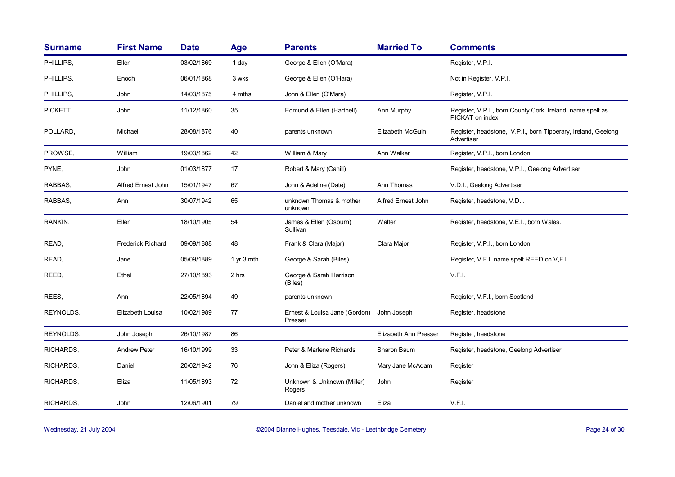| <b>Surname</b> | <b>First Name</b>        | <b>Date</b> | <b>Age</b>   | <b>Parents</b>                           | <b>Married To</b>     | <b>Comments</b>                                                               |
|----------------|--------------------------|-------------|--------------|------------------------------------------|-----------------------|-------------------------------------------------------------------------------|
| PHILLIPS.      | Ellen                    | 03/02/1869  | 1 day        | George & Ellen (O'Mara)                  |                       | Register, V.P.I.                                                              |
| PHILLIPS,      | Enoch                    | 06/01/1868  | 3 wks        | George & Ellen (O'Hara)                  |                       | Not in Register, V.P.I.                                                       |
| PHILLIPS,      | John                     | 14/03/1875  | 4 mths       | John & Ellen (O'Mara)                    |                       | Register, V.P.I.                                                              |
| PICKETT,       | John                     | 11/12/1860  | 35           | Edmund & Ellen (Hartnell)                | Ann Murphy            | Register, V.P.I., born County Cork, Ireland, name spelt as<br>PICKAT on index |
| POLLARD,       | Michael                  | 28/08/1876  | 40           | parents unknown                          | Elizabeth McGuin      | Register, headstone, V.P.I., born Tipperary, Ireland, Geelong<br>Advertiser   |
| PROWSE,        | William                  | 19/03/1862  | 42           | William & Mary                           | Ann Walker            | Register, V.P.I., born London                                                 |
| PYNE,          | John                     | 01/03/1877  | 17           | Robert & Mary (Cahill)                   |                       | Register, headstone, V.P.I., Geelong Advertiser                               |
| RABBAS,        | Alfred Ernest John       | 15/01/1947  | 67           | John & Adeline (Date)                    | Ann Thomas            | V.D.I., Geelong Advertiser                                                    |
| RABBAS,        | Ann                      | 30/07/1942  | 65           | unknown Thomas & mother<br>unknown       | Alfred Ernest John    | Register, headstone, V.D.I.                                                   |
| RANKIN,        | Ellen                    | 18/10/1905  | 54           | James & Ellen (Osburn)<br>Sullivan       | Walter                | Register, headstone, V.E.I., born Wales.                                      |
| READ,          | <b>Frederick Richard</b> | 09/09/1888  | 48           | Frank & Clara (Major)                    | Clara Major           | Register, V.P.I., born London                                                 |
| READ,          | Jane                     | 05/09/1889  | 1 $yr$ 3 mth | George & Sarah (Biles)                   |                       | Register, V.F.I. name spelt REED on V.F.I.                                    |
| REED,          | Ethel                    | 27/10/1893  | 2 hrs        | George & Sarah Harrison<br>(Biles)       |                       | V.F.I.                                                                        |
| REES.          | Ann                      | 22/05/1894  | 49           | parents unknown                          |                       | Register, V.F.I., born Scotland                                               |
| REYNOLDS,      | Elizabeth Louisa         | 10/02/1989  | 77           | Ernest & Louisa Jane (Gordon)<br>Presser | John Joseph           | Register, headstone                                                           |
| REYNOLDS,      | John Joseph              | 26/10/1987  | 86           |                                          | Elizabeth Ann Presser | Register, headstone                                                           |
| RICHARDS.      | <b>Andrew Peter</b>      | 16/10/1999  | 33           | Peter & Marlene Richards                 | Sharon Baum           | Register, headstone, Geelong Advertiser                                       |
| RICHARDS,      | Daniel                   | 20/02/1942  | 76           | John & Eliza (Rogers)                    | Mary Jane McAdam      | Register                                                                      |
| RICHARDS,      | Eliza                    | 11/05/1893  | 72           | Unknown & Unknown (Miller)<br>Rogers     | John                  | Register                                                                      |
| RICHARDS.      | John                     | 12/06/1901  | 79           | Daniel and mother unknown                | Eliza                 | V.F.I.                                                                        |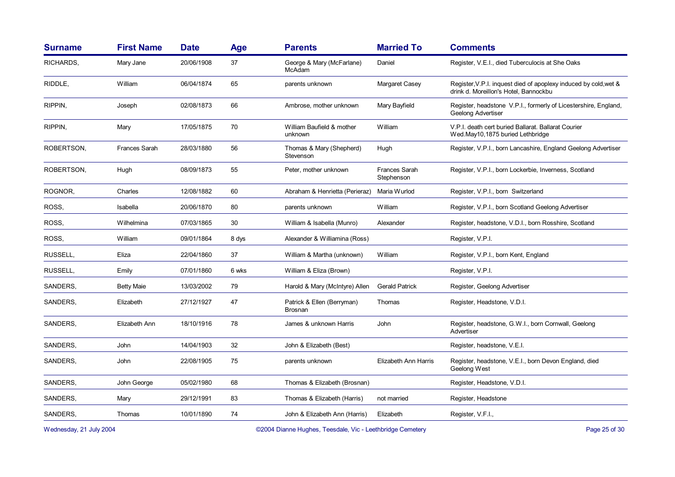| <b>Surname</b> | <b>First Name</b>    | <b>Date</b> | <b>Age</b> | <b>Parents</b>                               | <b>Married To</b>                  | <b>Comments</b>                                                                                           |
|----------------|----------------------|-------------|------------|----------------------------------------------|------------------------------------|-----------------------------------------------------------------------------------------------------------|
| RICHARDS,      | Mary Jane            | 20/06/1908  | 37         | George & Mary (McFarlane)<br>McAdam          | Daniel                             | Register, V.E.I., died Tuberculocis at She Oaks                                                           |
| RIDDLE,        | William              | 06/04/1874  | 65         | parents unknown                              | Margaret Casey                     | Register, V.P.I. inquest died of apoplexy induced by cold, wet &<br>drink d. Moreillon's Hotel, Bannockbu |
| RIPPIN,        | Joseph               | 02/08/1873  | 66         | Ambrose, mother unknown                      | Mary Bayfield                      | Register, headstone V.P.I., formerly of Licestershire, England,<br>Geelong Advertiser                     |
| RIPPIN,        | Mary                 | 17/05/1875  | 70         | William Baufield & mother<br>unknown         | William                            | V.P.I. death cert buried Ballarat. Ballarat Courier<br>Wed.May10,1875 buried Lethbridge                   |
| ROBERTSON,     | <b>Frances Sarah</b> | 28/03/1880  | 56         | Thomas & Mary (Shepherd)<br>Stevenson        | Hugh                               | Register, V.P.I., born Lancashire, England Geelong Advertiser                                             |
| ROBERTSON,     | Hugh                 | 08/09/1873  | 55         | Peter, mother unknown                        | <b>Frances Sarah</b><br>Stephenson | Register, V.P.I., born Lockerbie, Inverness, Scotland                                                     |
| ROGNOR,        | Charles              | 12/08/1882  | 60         | Abraham & Henrietta (Perieraz)               | Maria Wurlod                       | Register, V.P.I., born Switzerland                                                                        |
| ROSS.          | Isabella             | 20/06/1870  | 80         | parents unknown                              | William                            | Register, V.P.I., born Scotland Geelong Advertiser                                                        |
| ROSS,          | Wilhelmina           | 07/03/1865  | 30         | William & Isabella (Munro)                   | Alexander                          | Register, headstone, V.D.I., born Rosshire, Scotland                                                      |
| ROSS.          | William              | 09/01/1864  | 8 dys      | Alexander & Williamina (Ross)                |                                    | Register, V.P.I.                                                                                          |
| RUSSELL.       | Eliza                | 22/04/1860  | 37         | William & Martha (unknown)                   | William                            | Register, V.P.I., born Kent, England                                                                      |
| RUSSELL,       | Emily                | 07/01/1860  | 6 wks      | William & Eliza (Brown)                      |                                    | Register, V.P.I.                                                                                          |
| SANDERS,       | <b>Betty Maie</b>    | 13/03/2002  | 79         | Harold & Mary (McIntyre) Allen               | <b>Gerald Patrick</b>              | Register, Geelong Advertiser                                                                              |
| SANDERS,       | Elizabeth            | 27/12/1927  | 47         | Patrick & Ellen (Berryman)<br><b>Brosnan</b> | Thomas                             | Register, Headstone, V.D.I.                                                                               |
| SANDERS,       | Elizabeth Ann        | 18/10/1916  | 78         | James & unknown Harris                       | John                               | Register, headstone, G.W.I., born Cornwall, Geelong<br>Advertiser                                         |
| SANDERS,       | John                 | 14/04/1903  | 32         | John & Elizabeth (Best)                      |                                    | Register, headstone, V.E.I.                                                                               |
| SANDERS,       | John                 | 22/08/1905  | 75         | parents unknown                              | Elizabeth Ann Harris               | Register, headstone, V.E.I., born Devon England, died<br>Geelong West                                     |
| SANDERS,       | John George          | 05/02/1980  | 68         | Thomas & Elizabeth (Brosnan)                 |                                    | Register, Headstone, V.D.I.                                                                               |
| SANDERS,       | Mary                 | 29/12/1991  | 83         | Thomas & Elizabeth (Harris)                  | not married                        | Register, Headstone                                                                                       |
| SANDERS,       | Thomas               | 10/01/1890  | 74         | John & Elizabeth Ann (Harris)                | Elizabeth                          | Register, V.F.I.,                                                                                         |
|                |                      |             |            |                                              |                                    |                                                                                                           |

Wednesday, 21 July 2004 **Dianne Hughes, Teesdale, Vic - Leethbridge Cemetery** Page 25 of 30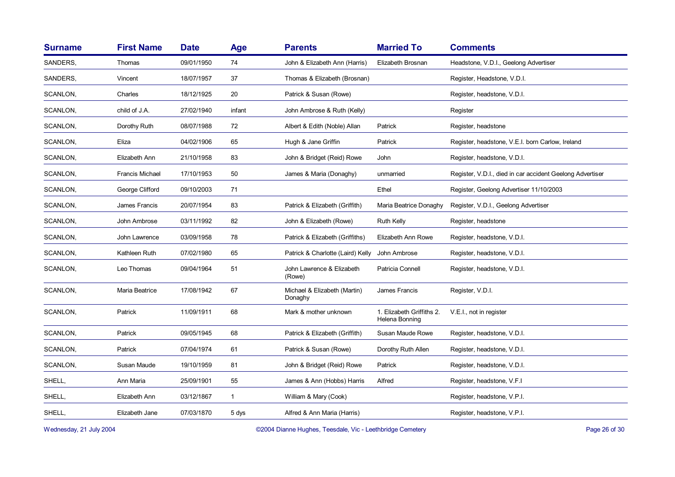| <b>Surname</b> | <b>First Name</b>      | <b>Date</b> | Age          | <b>Parents</b>                          | <b>Married To</b>                           | <b>Comments</b>                                           |
|----------------|------------------------|-------------|--------------|-----------------------------------------|---------------------------------------------|-----------------------------------------------------------|
| SANDERS,       | Thomas                 | 09/01/1950  | 74           | John & Elizabeth Ann (Harris)           | Elizabeth Brosnan                           | Headstone, V.D.I., Geelong Advertiser                     |
| SANDERS,       | Vincent                | 18/07/1957  | 37           | Thomas & Elizabeth (Brosnan)            |                                             | Register, Headstone, V.D.I.                               |
| SCANLON,       | Charles                | 18/12/1925  | 20           | Patrick & Susan (Rowe)                  |                                             | Register, headstone, V.D.I.                               |
| SCANLON,       | child of J.A.          | 27/02/1940  | infant       | John Ambrose & Ruth (Kelly)             |                                             | Register                                                  |
| SCANLON,       | Dorothy Ruth           | 08/07/1988  | 72           | Albert & Edith (Noble) Allan            | Patrick                                     | Register, headstone                                       |
| SCANLON,       | Eliza                  | 04/02/1906  | 65           | Hugh & Jane Griffin                     | Patrick                                     | Register, headstone, V.E.I. born Carlow, Ireland          |
| SCANLON,       | Elizabeth Ann          | 21/10/1958  | 83           | John & Bridget (Reid) Rowe              | John                                        | Register, headstone, V.D.I.                               |
| SCANLON,       | <b>Francis Michael</b> | 17/10/1953  | 50           | James & Maria (Donaghy)                 | unmarried                                   | Register, V.D.I., died in car accident Geelong Advertiser |
| SCANLON,       | George Clifford        | 09/10/2003  | 71           |                                         | Ethel                                       | Register, Geelong Advertiser 11/10/2003                   |
| SCANLON,       | James Francis          | 20/07/1954  | 83           | Patrick & Elizabeth (Griffith)          | Maria Beatrice Donaghy                      | Register, V.D.I., Geelong Advertiser                      |
| SCANLON,       | John Ambrose           | 03/11/1992  | 82           | John & Elizabeth (Rowe)                 | <b>Ruth Kelly</b>                           | Register, headstone                                       |
| SCANLON,       | John Lawrence          | 03/09/1958  | 78           | Patrick & Elizabeth (Griffiths)         | Elizabeth Ann Rowe                          | Register, headstone, V.D.I.                               |
| SCANLON,       | Kathleen Ruth          | 07/02/1980  | 65           | Patrick & Charlotte (Laird) Kelly       | John Ambrose                                | Register, headstone, V.D.I.                               |
| SCANLON,       | Leo Thomas             | 09/04/1964  | 51           | John Lawrence & Elizabeth<br>(Rowe)     | Patricia Connell                            | Register, headstone, V.D.I.                               |
| SCANLON,       | Maria Beatrice         | 17/08/1942  | 67           | Michael & Elizabeth (Martin)<br>Donaghy | James Francis                               | Register, V.D.I.                                          |
| SCANLON,       | Patrick                | 11/09/1911  | 68           | Mark & mother unknown                   | 1. Elizabeth Griffiths 2.<br>Helena Bonning | V.E.I., not in register                                   |
| SCANLON,       | Patrick                | 09/05/1945  | 68           | Patrick & Elizabeth (Griffith)          | Susan Maude Rowe                            | Register, headstone, V.D.I.                               |
| SCANLON,       | Patrick                | 07/04/1974  | 61           | Patrick & Susan (Rowe)                  | Dorothy Ruth Allen                          | Register, headstone, V.D.I.                               |
| SCANLON,       | Susan Maude            | 19/10/1959  | 81           | John & Bridget (Reid) Rowe              | Patrick                                     | Register, headstone, V.D.I.                               |
| SHELL,         | Ann Maria              | 25/09/1901  | 55           | James & Ann (Hobbs) Harris              | Alfred                                      | Register, headstone, V.F.I.                               |
| SHELL,         | Elizabeth Ann          | 03/12/1867  | $\mathbf{1}$ | William & Mary (Cook)                   |                                             | Register, headstone, V.P.I.                               |
| SHELL,         | Elizabeth Jane         | 07/03/1870  | 5 dys        | Alfred & Ann Maria (Harris)             |                                             | Register, headstone, V.P.I.                               |
|                |                        |             |              |                                         |                                             |                                                           |

Wednesday, 21 July 2004 **Dianne Hughes, Teesdale, Vic - Leethbridge Cemetery** Page 26 of 30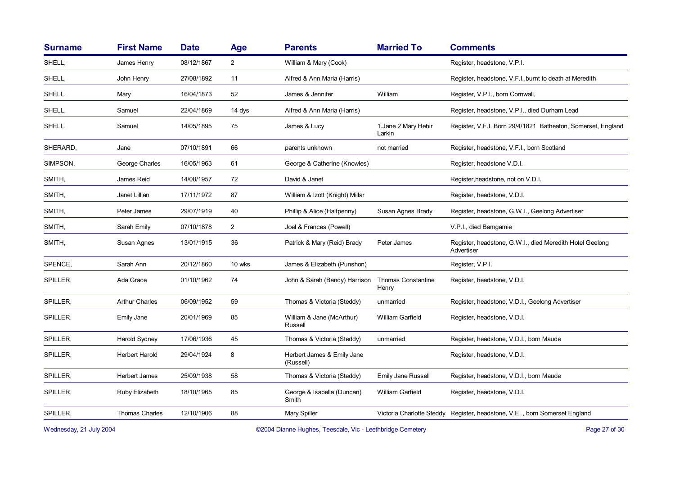| <b>First Name</b>     | <b>Date</b> | Age            | <b>Parents</b>                          | <b>Married To</b>                  | <b>Comments</b>                                                           |
|-----------------------|-------------|----------------|-----------------------------------------|------------------------------------|---------------------------------------------------------------------------|
| James Henry           | 08/12/1867  | $\overline{2}$ | William & Mary (Cook)                   |                                    | Register, headstone, V.P.I.                                               |
| John Henry            | 27/08/1892  | 11             | Alfred & Ann Maria (Harris)             |                                    | Register, headstone, V.F.I., burnt to death at Meredith                   |
| Mary                  | 16/04/1873  | 52             | James & Jennifer                        | William                            | Register, V.P.I., born Cornwall,                                          |
| Samuel                | 22/04/1869  | 14 dys         | Alfred & Ann Maria (Harris)             |                                    | Register, headstone, V.P.I., died Durham Lead                             |
| Samuel                | 14/05/1895  | 75             | James & Lucy                            | 1. Jane 2 Mary Hehir<br>Larkin     | Register, V.F.I. Born 29/4/1821 Batheaton, Somerset, England              |
| Jane                  | 07/10/1891  | 66             | parents unknown                         | not married                        | Register, headstone, V.F.I., born Scotland                                |
| George Charles        | 16/05/1963  | 61             | George & Catherine (Knowles)            |                                    | Register, headstone V.D.I.                                                |
| James Reid            | 14/08/1957  | 72             | David & Janet                           |                                    | Register, headstone, not on V.D.I.                                        |
| Janet Lillian         | 17/11/1972  | 87             | William & Izott (Knight) Millar         |                                    | Register, headstone, V.D.I.                                               |
| Peter James           | 29/07/1919  | 40             | Phillip & Alice (Halfpenny)             | Susan Agnes Brady                  | Register, headstone, G.W.I., Geelong Advertiser                           |
| Sarah Emily           | 07/10/1878  | $\overline{c}$ | Joel & Frances (Powell)                 |                                    | V.P.I., died Bamgamie                                                     |
| Susan Agnes           | 13/01/1915  | 36             | Patrick & Mary (Reid) Brady             | Peter James                        | Register, headstone, G.W.I., died Meredith Hotel Geelong<br>Advertiser    |
| Sarah Ann             | 20/12/1860  | 10 wks         | James & Elizabeth (Punshon)             |                                    | Register, V.P.I.                                                          |
| Ada Grace             | 01/10/1962  | 74             | John & Sarah (Bandy) Harrison           | <b>Thomas Constantine</b><br>Henry | Register, headstone, V.D.I.                                               |
| <b>Arthur Charles</b> | 06/09/1952  | 59             | Thomas & Victoria (Steddy)              | unmarried                          | Register, headstone, V.D.I., Geelong Advertiser                           |
| Emily Jane            | 20/01/1969  | 85             | William & Jane (McArthur)<br>Russell    | William Garfield                   | Register, headstone, V.D.I.                                               |
| Harold Sydney         | 17/06/1936  | 45             | Thomas & Victoria (Steddy)              | unmarried                          | Register, headstone, V.D.I., born Maude                                   |
| Herbert Harold        | 29/04/1924  | 8              | Herbert James & Emily Jane<br>(Russell) |                                    | Register, headstone, V.D.I.                                               |
| Herbert James         | 25/09/1938  | 58             | Thomas & Victoria (Steddy)              | <b>Emily Jane Russell</b>          | Register, headstone, V.D.I., born Maude                                   |
| Ruby Elizabeth        | 18/10/1965  | 85             | George & Isabella (Duncan)<br>Smith     | William Garfield                   | Register, headstone, V.D.I.                                               |
| <b>Thomas Charles</b> | 12/10/1906  | 88             | Mary Spiller                            |                                    | Victoria Charlotte Steddy Register, headstone, V.E, born Somerset England |
|                       |             |                |                                         |                                    |                                                                           |

Wednesday, 21 July 2004 **Dianne Hughes, Teesdale, Vic - Leethbridge Cemetery** Page 27 of 30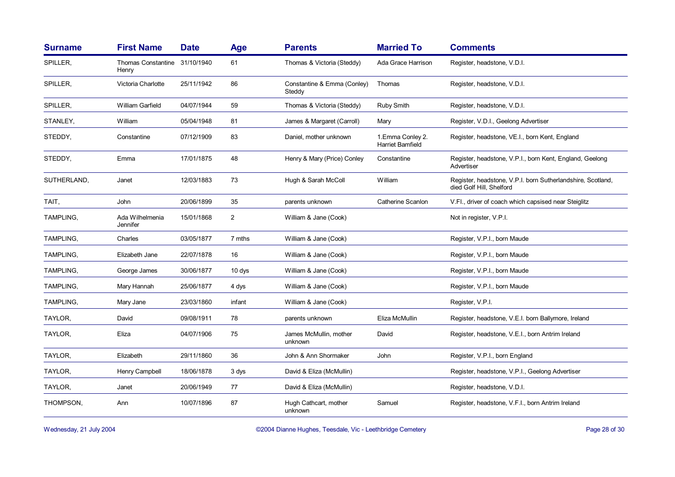| <b>Surname</b> | <b>First Name</b>                  | <b>Date</b> | <b>Age</b>     | <b>Parents</b>                        | <b>Married To</b>                            | <b>Comments</b>                                                                         |
|----------------|------------------------------------|-------------|----------------|---------------------------------------|----------------------------------------------|-----------------------------------------------------------------------------------------|
| SPILLER,       | <b>Thomas Constantine</b><br>Henry | 31/10/1940  | 61             | Thomas & Victoria (Steddy)            | Ada Grace Harrison                           | Register, headstone, V.D.I.                                                             |
| SPILLER,       | Victoria Charlotte                 | 25/11/1942  | 86             | Constantine & Emma (Conley)<br>Steddy | Thomas                                       | Register, headstone, V.D.I.                                                             |
| SPILLER,       | William Garfield                   | 04/07/1944  | 59             | Thomas & Victoria (Steddy)            | Ruby Smith                                   | Register, headstone, V.D.I.                                                             |
| STANLEY,       | William                            | 05/04/1948  | 81             | James & Margaret (Carroll)            | Mary                                         | Register, V.D.I., Geelong Advertiser                                                    |
| STEDDY,        | Constantine                        | 07/12/1909  | 83             | Daniel, mother unknown                | 1. Emma Conley 2.<br><b>Harriet Bamfield</b> | Register, headstone, VE.I., born Kent, England                                          |
| STEDDY,        | Emma                               | 17/01/1875  | 48             | Henry & Mary (Price) Conley           | Constantine                                  | Register, headstone, V.P.I., born Kent, England, Geelong<br>Advertiser                  |
| SUTHERLAND,    | Janet                              | 12/03/1883  | 73             | Hugh & Sarah McColl                   | William                                      | Register, headstone, V.P.I. born Sutherlandshire, Scotland,<br>died Golf Hill, Shelford |
| TAIT,          | John                               | 20/06/1899  | 35             | parents unknown                       | <b>Catherine Scanlon</b>                     | V.Fl., driver of coach which capsised near Steiglitz                                    |
| TAMPLING,      | Ada Wilhelmenia<br>Jennifer        | 15/01/1868  | $\overline{2}$ | William & Jane (Cook)                 |                                              | Not in register, V.P.I.                                                                 |
| TAMPLING,      | Charles                            | 03/05/1877  | 7 mths         | William & Jane (Cook)                 |                                              | Register, V.P.I., born Maude                                                            |
| TAMPLING,      | Elizabeth Jane                     | 22/07/1878  | 16             | William & Jane (Cook)                 |                                              | Register, V.P.I., born Maude                                                            |
| TAMPLING,      | George James                       | 30/06/1877  | $10$ dys       | William & Jane (Cook)                 |                                              | Register, V.P.I., born Maude                                                            |
| TAMPLING,      | Mary Hannah                        | 25/06/1877  | 4 dys          | William & Jane (Cook)                 |                                              | Register, V.P.I., born Maude                                                            |
| TAMPLING,      | Mary Jane                          | 23/03/1860  | infant         | William & Jane (Cook)                 |                                              | Register, V.P.I.                                                                        |
| TAYLOR,        | David                              | 09/08/1911  | 78             | parents unknown                       | Eliza McMullin                               | Register, headstone, V.E.I. born Ballymore, Ireland                                     |
| TAYLOR,        | Eliza                              | 04/07/1906  | 75             | James McMullin, mother<br>unknown     | David                                        | Register, headstone, V.E.I., born Antrim Ireland                                        |
| TAYLOR,        | Elizabeth                          | 29/11/1860  | 36             | John & Ann Shormaker                  | John                                         | Register, V.P.I., born England                                                          |
| TAYLOR,        | Henry Campbell                     | 18/06/1878  | 3 dys          | David & Eliza (McMullin)              |                                              | Register, headstone, V.P.I., Geelong Advertiser                                         |
| TAYLOR,        | Janet                              | 20/06/1949  | 77             | David & Eliza (McMullin)              |                                              | Register, headstone, V.D.I.                                                             |
| THOMPSON,      | Ann                                | 10/07/1896  | 87             | Hugh Cathcart, mother<br>unknown      | Samuel                                       | Register, headstone, V.F.I., born Antrim Ireland                                        |

Wednesday, 21 July 2004 **Dianne Hughes, Teesdale, Vic - Leethbridge Cemetery** Page 28 of 30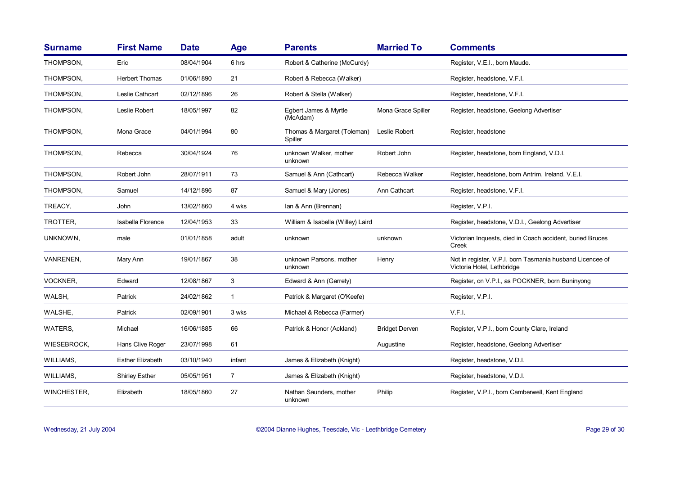| <b>Surname</b>  | <b>First Name</b>       | <b>Date</b> | <b>Age</b>     | <b>Parents</b>                         | <b>Married To</b>     | <b>Comments</b>                                                                         |
|-----------------|-------------------------|-------------|----------------|----------------------------------------|-----------------------|-----------------------------------------------------------------------------------------|
| THOMPSON,       | Eric                    | 08/04/1904  | 6 hrs          | Robert & Catherine (McCurdy)           |                       | Register, V.E.I., born Maude.                                                           |
| THOMPSON,       | <b>Herbert Thomas</b>   | 01/06/1890  | 21             | Robert & Rebecca (Walker)              |                       | Register, headstone, V.F.I.                                                             |
| THOMPSON,       | Leslie Cathcart         | 02/12/1896  | 26             | Robert & Stella (Walker)               |                       | Register, headstone, V.F.I.                                                             |
| THOMPSON,       | Leslie Robert           | 18/05/1997  | 82             | Egbert James & Myrtle<br>(McAdam)      | Mona Grace Spiller    | Register, headstone, Geelong Advertiser                                                 |
| THOMPSON,       | Mona Grace              | 04/01/1994  | 80             | Thomas & Margaret (Toleman)<br>Spiller | Leslie Robert         | Register, headstone                                                                     |
| THOMPSON,       | Rebecca                 | 30/04/1924  | 76             | unknown Walker, mother<br>unknown      | Robert John           | Register, headstone, born England, V.D.I.                                               |
| THOMPSON,       | Robert John             | 28/07/1911  | 73             | Samuel & Ann (Cathcart)                | Rebecca Walker        | Register, headstone, born Antrim, Ireland. V.E.I.                                       |
| THOMPSON,       | Samuel                  | 14/12/1896  | 87             | Samuel & Mary (Jones)                  | Ann Cathcart          | Register, headstone, V.F.I.                                                             |
| TREACY,         | John                    | 13/02/1860  | 4 wks          | lan & Ann (Brennan)                    |                       | Register, V.P.I.                                                                        |
| TROTTER,        | Isabella Florence       | 12/04/1953  | 33             | William & Isabella (Willey) Laird      |                       | Register, headstone, V.D.I., Geelong Advertiser                                         |
| UNKNOWN,        | male                    | 01/01/1858  | adult          | unknown                                | unknown               | Victorian Inquests, died in Coach accident, buried Bruces<br>Creek                      |
| VANRENEN,       | Mary Ann                | 19/01/1867  | 38             | unknown Parsons, mother<br>unknown     | Henry                 | Not in register, V.P.I. born Tasmania husband Licencee of<br>Victoria Hotel, Lethbridge |
| <b>VOCKNER,</b> | Edward                  | 12/08/1867  | 3              | Edward & Ann (Garrety)                 |                       | Register, on V.P.I., as POCKNER, born Buninyong                                         |
| WALSH,          | Patrick                 | 24/02/1862  | $\mathbf{1}$   | Patrick & Margaret (O'Keefe)           |                       | Register, V.P.I.                                                                        |
| WALSHE,         | Patrick                 | 02/09/1901  | 3 wks          | Michael & Rebecca (Farmer)             |                       | V.F.I.                                                                                  |
| WATERS,         | Michael                 | 16/06/1885  | 66             | Patrick & Honor (Ackland)              | <b>Bridget Derven</b> | Register, V.P.I., born County Clare, Ireland                                            |
| WIESEBROCK,     | Hans Clive Roger        | 23/07/1998  | 61             |                                        | Augustine             | Register, headstone, Geelong Advertiser                                                 |
| WILLIAMS,       | <b>Esther Elizabeth</b> | 03/10/1940  | infant         | James & Elizabeth (Knight)             |                       | Register, headstone, V.D.I.                                                             |
| WILLIAMS,       | <b>Shirley Esther</b>   | 05/05/1951  | $\overline{7}$ | James & Elizabeth (Knight)             |                       | Register, headstone, V.D.I.                                                             |
| WINCHESTER,     | Elizabeth               | 18/05/1860  | 27             | Nathan Saunders, mother<br>unknown     | Philip                | Register, V.P.I., born Camberwell, Kent England                                         |